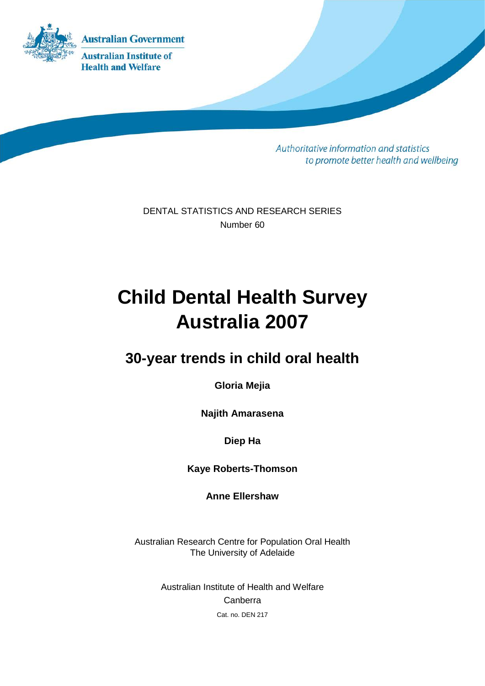

Authoritative information and statistics to promote better health and wellbeing

DENTAL STATISTICS AND RESEARCH SERIES Number 60

# **Child Dental Health Survey Australia 2007**

## **30-year trends in child oral health**

**Gloria Mejia**

**Najith Amarasena**

**Diep Ha**

**Kaye Roberts-Thomson**

**Anne Ellershaw**

Australian Research Centre for Population Oral Health The University of Adelaide

> Australian Institute of Health and Welfare Canberra Cat. no. DEN 217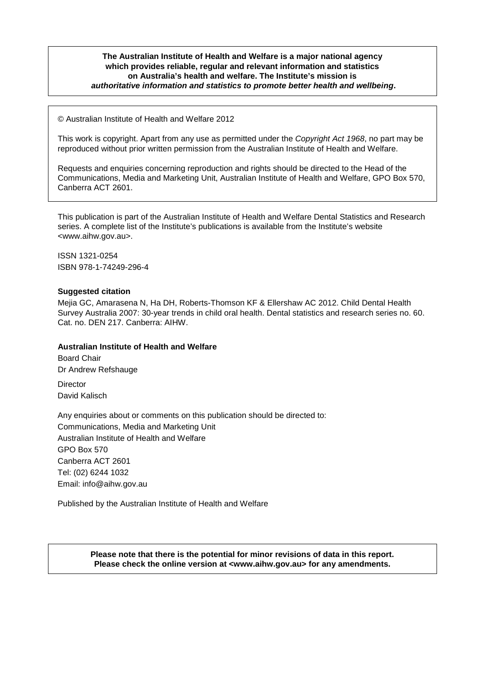#### **The Australian Institute of Health and Welfare is a major national agency which provides reliable, regular and relevant information and statistics on Australia's health and welfare. The Institute's mission is** *authoritative information and statistics to promote better health and wellbeing***.**

© Australian Institute of Health and Welfare 2012

This work is copyright. Apart from any use as permitted under the *Copyright Act 1968*, no part may be reproduced without prior written permission from the Australian Institute of Health and Welfare.

Requests and enquiries concerning reproduction and rights should be directed to the Head of the Communications, Media and Marketing Unit, Australian Institute of Health and Welfare, GPO Box 570, Canberra ACT 2601.

This publication is part of the Australian Institute of Health and Welfare Dental Statistics and Research series. A complete list of the Institute's publications is available from the Institute's website <www.aihw.gov.au>.

ISSN 1321-0254 ISBN 978-1-74249-296-4

#### **Suggested citation**

Mejia GC, Amarasena N, Ha DH, Roberts-Thomson KF & Ellershaw AC 2012. Child Dental Health Survey Australia 2007: 30-year trends in child oral health. Dental statistics and research series no. 60. Cat. no. DEN 217. Canberra: AIHW.

#### **Australian Institute of Health and Welfare**

Board Chair Dr Andrew Refshauge

**Director** David Kalisch

Any enquiries about or comments on this publication should be directed to: Communications, Media and Marketing Unit Australian Institute of Health and Welfare GPO Box 570 Canberra ACT 2601 Tel: (02) 6244 1032 Email: info@aihw.gov.au

Published by the Australian Institute of Health and Welfare

**Please note that there is the potential for minor revisions of data in this report. Please check the online version at <www.aihw.gov.au> for any amendments.**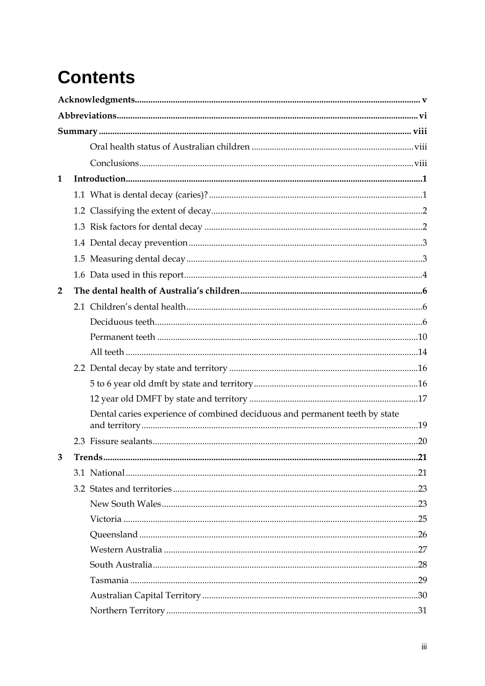# **Contents**

| $\mathbf{1}$   |                                                                             |     |
|----------------|-----------------------------------------------------------------------------|-----|
|                |                                                                             |     |
|                |                                                                             |     |
|                |                                                                             |     |
|                |                                                                             |     |
|                |                                                                             |     |
|                |                                                                             |     |
| $\overline{2}$ |                                                                             |     |
|                |                                                                             |     |
|                |                                                                             |     |
|                |                                                                             |     |
|                |                                                                             |     |
|                |                                                                             |     |
|                |                                                                             |     |
|                |                                                                             |     |
|                | Dental caries experience of combined deciduous and permanent teeth by state |     |
|                |                                                                             |     |
| 3              | Trends                                                                      | .21 |
|                |                                                                             |     |
|                |                                                                             |     |
|                |                                                                             |     |
|                |                                                                             |     |
|                |                                                                             |     |
|                |                                                                             |     |
|                |                                                                             |     |
|                |                                                                             |     |
|                |                                                                             |     |
|                |                                                                             |     |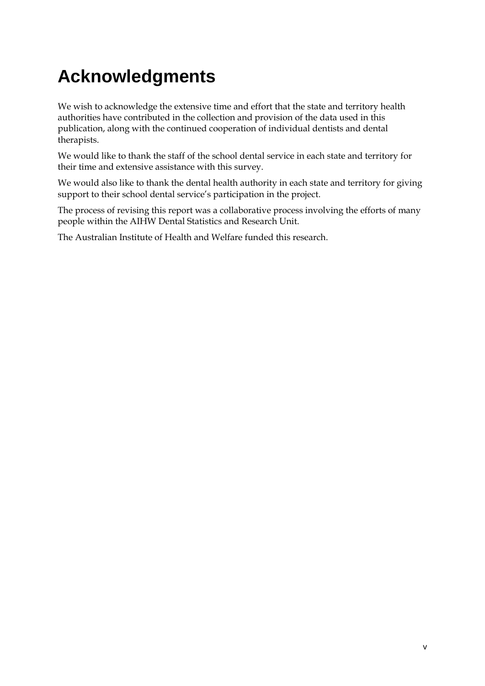# **Acknowledgments**

We wish to acknowledge the extensive time and effort that the state and territory health authorities have contributed in the collection and provision of the data used in this publication, along with the continued cooperation of individual dentists and dental therapists.

We would like to thank the staff of the school dental service in each state and territory for their time and extensive assistance with this survey.

We would also like to thank the dental health authority in each state and territory for giving support to their school dental service's participation in the project.

The process of revising this report was a collaborative process involving the efforts of many people within the AIHW Dental Statistics and Research Unit.

The Australian Institute of Health and Welfare funded this research.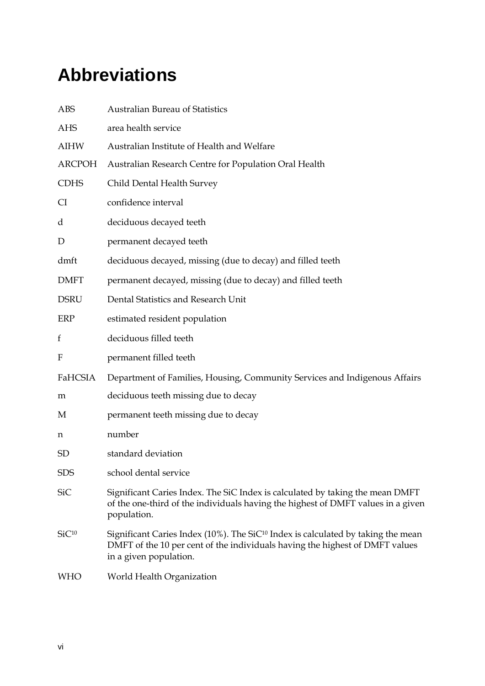# **Abbreviations**

| <b>ABS</b>                | <b>Australian Bureau of Statistics</b>                                                                                                                                                                 |
|---------------------------|--------------------------------------------------------------------------------------------------------------------------------------------------------------------------------------------------------|
| <b>AHS</b>                | area health service                                                                                                                                                                                    |
| <b>AIHW</b>               | Australian Institute of Health and Welfare                                                                                                                                                             |
| <b>ARCPOH</b>             | Australian Research Centre for Population Oral Health                                                                                                                                                  |
| <b>CDHS</b>               | Child Dental Health Survey                                                                                                                                                                             |
| CI                        | confidence interval                                                                                                                                                                                    |
| d                         | deciduous decayed teeth                                                                                                                                                                                |
| $\mathbf D$               | permanent decayed teeth                                                                                                                                                                                |
| dmft                      | deciduous decayed, missing (due to decay) and filled teeth                                                                                                                                             |
| <b>DMFT</b>               | permanent decayed, missing (due to decay) and filled teeth                                                                                                                                             |
| <b>DSRU</b>               | Dental Statistics and Research Unit                                                                                                                                                                    |
| <b>ERP</b>                | estimated resident population                                                                                                                                                                          |
| f                         | deciduous filled teeth                                                                                                                                                                                 |
| $\boldsymbol{\mathrm{F}}$ | permanent filled teeth                                                                                                                                                                                 |
| FaHCSIA                   | Department of Families, Housing, Community Services and Indigenous Affairs                                                                                                                             |
| m                         | deciduous teeth missing due to decay                                                                                                                                                                   |
| М                         | permanent teeth missing due to decay                                                                                                                                                                   |
| n                         | number                                                                                                                                                                                                 |
| SD                        | standard deviation                                                                                                                                                                                     |
| <b>SDS</b>                | school dental service                                                                                                                                                                                  |
| <b>SiC</b>                | Significant Caries Index. The SiC Index is calculated by taking the mean DMFT<br>of the one-third of the individuals having the highest of DMFT values in a given<br>population.                       |
| SiC <sup>10</sup>         | Significant Caries Index (10%). The SiC <sup>10</sup> Index is calculated by taking the mean<br>DMFT of the 10 per cent of the individuals having the highest of DMFT values<br>in a given population. |
| <b>WHO</b>                | World Health Organization                                                                                                                                                                              |
|                           |                                                                                                                                                                                                        |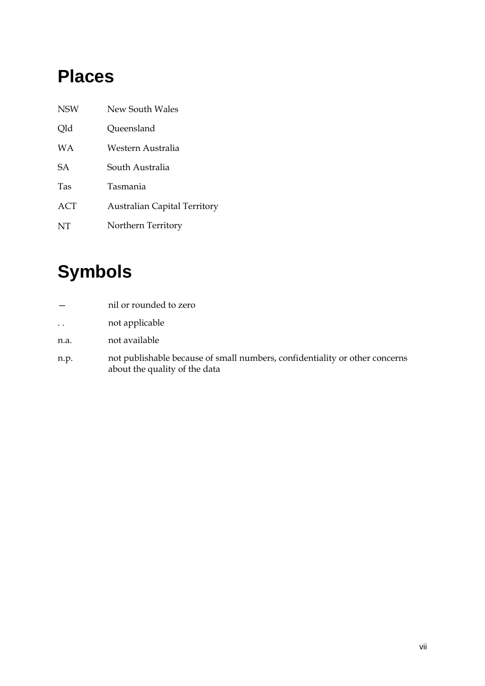# **Places**

| <b>NSW</b> | New South Wales                     |
|------------|-------------------------------------|
| Qld        | Queensland                          |
| <b>WA</b>  | Western Australia                   |
| <b>SA</b>  | South Australia                     |
| Tas        | Tasmania                            |
| <b>ACT</b> | <b>Australian Capital Territory</b> |
| NT         | Northern Territory                  |

# **Symbols**

|                      | nil or rounded to zero                                                                                       |
|----------------------|--------------------------------------------------------------------------------------------------------------|
| $\ddot{\phantom{0}}$ | not applicable                                                                                               |
| n.a.                 | not available                                                                                                |
| n.p.                 | not publishable because of small numbers, confidentiality or other concerns<br>about the quality of the data |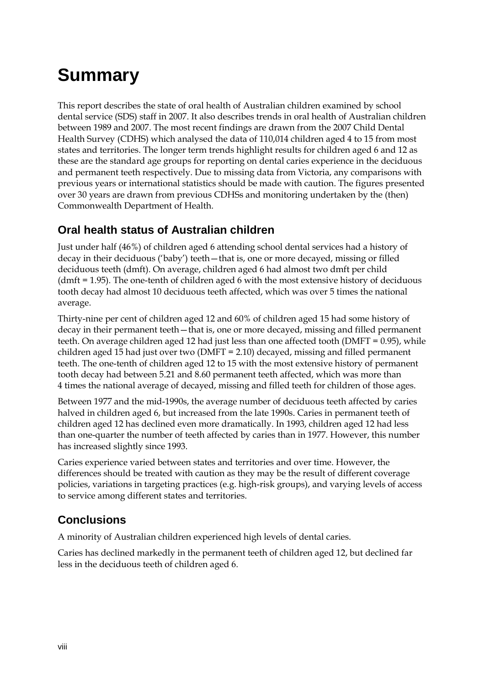# **Summary**

This report describes the state of oral health of Australian children examined by school dental service (SDS) staff in 2007. It also describes trends in oral health of Australian children between 1989 and 2007. The most recent findings are drawn from the 2007 Child Dental Health Survey (CDHS) which analysed the data of 110,014 children aged 4 to 15 from most states and territories. The longer term trends highlight results for children aged 6 and 12 as these are the standard age groups for reporting on dental caries experience in the deciduous and permanent teeth respectively. Due to missing data from Victoria, any comparisons with previous years or international statistics should be made with caution. The figures presented over 30 years are drawn from previous CDHSs and monitoring undertaken by the (then) Commonwealth Department of Health.

### **Oral health status of Australian children**

Just under half (46%) of children aged 6 attending school dental services had a history of decay in their deciduous ('baby') teeth—that is, one or more decayed, missing or filled deciduous teeth (dmft). On average, children aged 6 had almost two dmft per child (dmft = 1.95). The one-tenth of children aged 6 with the most extensive history of deciduous tooth decay had almost 10 deciduous teeth affected, which was over 5 times the national average.

Thirty-nine per cent of children aged 12 and 60% of children aged 15 had some history of decay in their permanent teeth—that is, one or more decayed, missing and filled permanent teeth. On average children aged 12 had just less than one affected tooth (DMFT = 0.95), while children aged 15 had just over two (DMFT = 2.10) decayed, missing and filled permanent teeth. The one-tenth of children aged 12 to 15 with the most extensive history of permanent tooth decay had between 5.21 and 8.60 permanent teeth affected, which was more than 4 times the national average of decayed, missing and filled teeth for children of those ages.

Between 1977 and the mid-1990s, the average number of deciduous teeth affected by caries halved in children aged 6, but increased from the late 1990s. Caries in permanent teeth of children aged 12 has declined even more dramatically. In 1993, children aged 12 had less than one-quarter the number of teeth affected by caries than in 1977. However, this number has increased slightly since 1993.

Caries experience varied between states and territories and over time. However, the differences should be treated with caution as they may be the result of different coverage policies, variations in targeting practices (e.g. high-risk groups), and varying levels of access to service among different states and territories.

## **Conclusions**

A minority of Australian children experienced high levels of dental caries.

Caries has declined markedly in the permanent teeth of children aged 12, but declined far less in the deciduous teeth of children aged 6.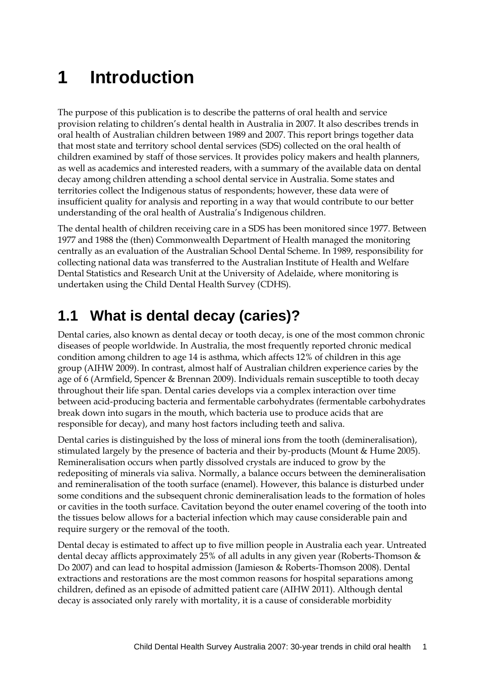# **1 Introduction**

The purpose of this publication is to describe the patterns of oral health and service provision relating to children's dental health in Australia in 2007. It also describes trends in oral health of Australian children between 1989 and 2007. This report brings together data that most state and territory school dental services (SDS) collected on the oral health of children examined by staff of those services. It provides policy makers and health planners, as well as academics and interested readers, with a summary of the available data on dental decay among children attending a school dental service in Australia. Some states and territories collect the Indigenous status of respondents; however, these data were of insufficient quality for analysis and reporting in a way that would contribute to our better understanding of the oral health of Australia's Indigenous children.

The dental health of children receiving care in a SDS has been monitored since 1977. Between 1977 and 1988 the (then) Commonwealth Department of Health managed the monitoring centrally as an evaluation of the Australian School Dental Scheme. In 1989, responsibility for collecting national data was transferred to the Australian Institute of Health and Welfare Dental Statistics and Research Unit at the University of Adelaide, where monitoring is undertaken using the Child Dental Health Survey (CDHS).

# **1.1 What is dental decay (caries)?**

Dental caries, also known as dental decay or tooth decay, is one of the most common chronic diseases of people worldwide. In Australia, the most frequently reported chronic medical condition among children to age 14 is asthma, which affects 12% of children in this age group (AIHW 2009). In contrast, almost half of Australian children experience caries by the age of 6 (Armfield, Spencer & Brennan 2009). Individuals remain susceptible to tooth decay throughout their life span. Dental caries develops via a complex interaction over time between acid-producing bacteria and fermentable carbohydrates (fermentable carbohydrates break down into sugars in the mouth, which bacteria use to produce acids that are responsible for decay), and many host factors including teeth and saliva.

Dental caries is distinguished by the loss of mineral ions from the tooth (demineralisation), stimulated largely by the presence of bacteria and their by-products (Mount & Hume 2005). Remineralisation occurs when partly dissolved crystals are induced to grow by the redepositing of minerals via saliva. Normally, a balance occurs between the demineralisation and remineralisation of the tooth surface (enamel). However, this balance is disturbed under some conditions and the subsequent chronic demineralisation leads to the formation of holes or cavities in the tooth surface. Cavitation beyond the outer enamel covering of the tooth into the tissues below allows for a bacterial infection which may cause considerable pain and require surgery or the removal of the tooth.

Dental decay is estimated to affect up to five million people in Australia each year. Untreated dental decay afflicts approximately 25% of all adults in any given year (Roberts-Thomson & Do 2007) and can lead to hospital admission (Jamieson & Roberts-Thomson 2008). Dental extractions and restorations are the most common reasons for hospital separations among children, defined as an episode of admitted patient care (AIHW 2011). Although dental decay is associated only rarely with mortality, it is a cause of considerable morbidity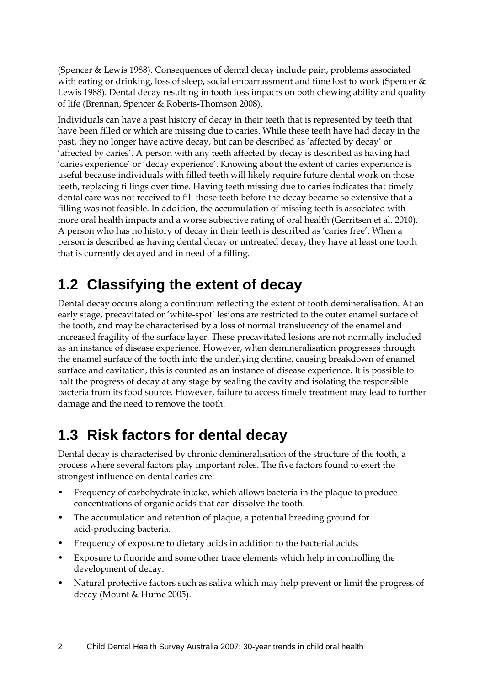(Spencer & Lewis 1988). Consequences of dental decay include pain, problems associated with eating or drinking, loss of sleep, social embarrassment and time lost to work (Spencer & Lewis 1988). Dental decay resulting in tooth loss impacts on both chewing ability and quality of life (Brennan, Spencer & Roberts-Thomson 2008).

Individuals can have a past history of decay in their teeth that is represented by teeth that have been filled or which are missing due to caries. While these teeth have had decay in the past, they no longer have active decay, but can be described as 'affected by decay' or 'affected by caries'. A person with any teeth affected by decay is described as having had 'caries experience' or 'decay experience'. Knowing about the extent of caries experience is useful because individuals with filled teeth will likely require future dental work on those teeth, replacing fillings over time. Having teeth missing due to caries indicates that timely dental care was not received to fill those teeth before the decay became so extensive that a filling was not feasible. In addition, the accumulation of missing teeth is associated with more oral health impacts and a worse subjective rating of oral health (Gerritsen et al. 2010). A person who has no history of decay in their teeth is described as 'caries free'. When a person is described as having dental decay or untreated decay, they have at least one tooth that is currently decayed and in need of a filling.

## **1.2 Classifying the extent of decay**

Dental decay occurs along a continuum reflecting the extent of tooth demineralisation. At an early stage, precavitated or 'white-spot' lesions are restricted to the outer enamel surface of the tooth, and may be characterised by a loss of normal translucency of the enamel and increased fragility of the surface layer. These precavitated lesions are not normally included as an instance of disease experience. However, when demineralisation progresses through the enamel surface of the tooth into the underlying dentine, causing breakdown of enamel surface and cavitation, this is counted as an instance of disease experience. It is possible to halt the progress of decay at any stage by sealing the cavity and isolating the responsible bacteria from its food source. However, failure to access timely treatment may lead to further damage and the need to remove the tooth.

## **1.3 Risk factors for dental decay**

Dental decay is characterised by chronic demineralisation of the structure of the tooth, a process where several factors play important roles. The five factors found to exert the strongest influence on dental caries are:

- Frequency of carbohydrate intake, which allows bacteria in the plaque to produce concentrations of organic acids that can dissolve the tooth.
- The accumulation and retention of plaque, a potential breeding ground for acid-producing bacteria.
- Frequency of exposure to dietary acids in addition to the bacterial acids.
- Exposure to fluoride and some other trace elements which help in controlling the development of decay.
- Natural protective factors such as saliva which may help prevent or limit the progress of decay (Mount & Hume 2005).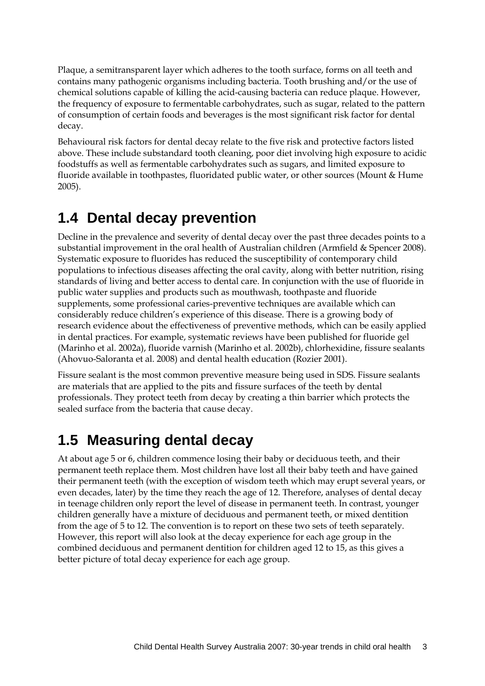Plaque, a semitransparent layer which adheres to the tooth surface, forms on all teeth and contains many pathogenic organisms including bacteria. Tooth brushing and/or the use of chemical solutions capable of killing the acid-causing bacteria can reduce plaque. However, the frequency of exposure to fermentable carbohydrates, such as sugar, related to the pattern of consumption of certain foods and beverages is the most significant risk factor for dental decay.

Behavioural risk factors for dental decay relate to the five risk and protective factors listed above. These include substandard tooth cleaning, poor diet involving high exposure to acidic foodstuffs as well as fermentable carbohydrates such as sugars, and limited exposure to fluoride available in toothpastes, fluoridated public water, or other sources (Mount & Hume 2005).

## **1.4 Dental decay prevention**

Decline in the prevalence and severity of dental decay over the past three decades points to a substantial improvement in the oral health of Australian children (Armfield & Spencer 2008). Systematic exposure to fluorides has reduced the susceptibility of contemporary child populations to infectious diseases affecting the oral cavity, along with better nutrition, rising standards of living and better access to dental care. In conjunction with the use of fluoride in public water supplies and products such as mouthwash, toothpaste and fluoride supplements, some professional caries-preventive techniques are available which can considerably reduce children's experience of this disease. There is a growing body of research evidence about the effectiveness of preventive methods, which can be easily applied in dental practices. For example, systematic reviews have been published for fluoride gel (Marinho et al. 2002a), fluoride varnish (Marinho et al. 2002b), chlorhexidine, fissure sealants (Ahovuo-Saloranta et al. 2008) and dental health education (Rozier 2001).

Fissure sealant is the most common preventive measure being used in SDS. Fissure sealants are materials that are applied to the pits and fissure surfaces of the teeth by dental professionals. They protect teeth from decay by creating a thin barrier which protects the sealed surface from the bacteria that cause decay.

## **1.5 Measuring dental decay**

At about age 5 or 6, children commence losing their baby or deciduous teeth, and their permanent teeth replace them. Most children have lost all their baby teeth and have gained their permanent teeth (with the exception of wisdom teeth which may erupt several years, or even decades, later) by the time they reach the age of 12. Therefore, analyses of dental decay in teenage children only report the level of disease in permanent teeth. In contrast, younger children generally have a mixture of deciduous and permanent teeth, or mixed dentition from the age of 5 to 12. The convention is to report on these two sets of teeth separately. However, this report will also look at the decay experience for each age group in the combined deciduous and permanent dentition for children aged 12 to 15, as this gives a better picture of total decay experience for each age group.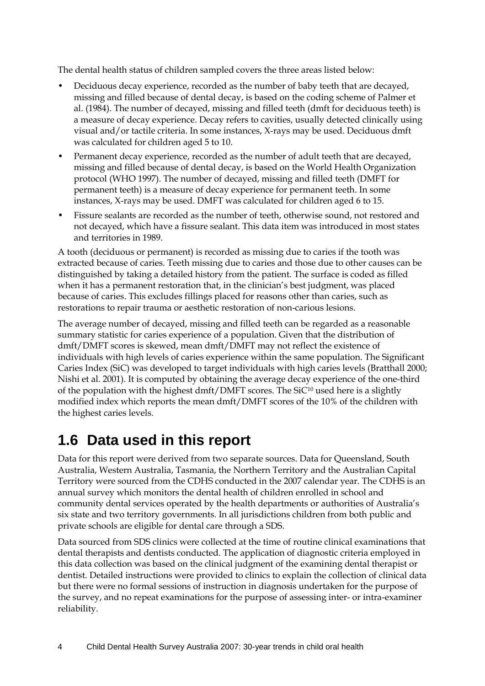The dental health status of children sampled covers the three areas listed below:

- Deciduous decay experience, recorded as the number of baby teeth that are decayed, missing and filled because of dental decay, is based on the coding scheme of Palmer et al. (1984). The number of decayed, missing and filled teeth (dmft for deciduous teeth) is a measure of decay experience. Decay refers to cavities, usually detected clinically using visual and/or tactile criteria. In some instances, X-rays may be used. Deciduous dmft was calculated for children aged 5 to 10.
- Permanent decay experience, recorded as the number of adult teeth that are decayed, missing and filled because of dental decay, is based on the World Health Organization protocol (WHO 1997). The number of decayed, missing and filled teeth (DMFT for permanent teeth) is a measure of decay experience for permanent teeth. In some instances, X-rays may be used. DMFT was calculated for children aged 6 to 15.
- Fissure sealants are recorded as the number of teeth, otherwise sound, not restored and not decayed, which have a fissure sealant. This data item was introduced in most states and territories in 1989.

A tooth (deciduous or permanent) is recorded as missing due to caries if the tooth was extracted because of caries. Teeth missing due to caries and those due to other causes can be distinguished by taking a detailed history from the patient. The surface is coded as filled when it has a permanent restoration that, in the clinician's best judgment, was placed because of caries. This excludes fillings placed for reasons other than caries, such as restorations to repair trauma or aesthetic restoration of non-carious lesions.

The average number of decayed, missing and filled teeth can be regarded as a reasonable summary statistic for caries experience of a population. Given that the distribution of dmft/DMFT scores is skewed, mean dmft/DMFT may not reflect the existence of individuals with high levels of caries experience within the same population. The Significant Caries Index (SiC) was developed to target individuals with high caries levels (Bratthall 2000; Nishi et al. 2001). It is computed by obtaining the average decay experience of the one-third of the population with the highest dmft/DMFT scores. The  $SiC^{10}$  used here is a slightly modified index which reports the mean dmft/DMFT scores of the 10% of the children with the highest caries levels.

## **1.6 Data used in this report**

Data for this report were derived from two separate sources. Data for Queensland, South Australia, Western Australia, Tasmania, the Northern Territory and the Australian Capital Territory were sourced from the CDHS conducted in the 2007 calendar year. The CDHS is an annual survey which monitors the dental health of children enrolled in school and community dental services operated by the health departments or authorities of Australia's six state and two territory governments. In all jurisdictions children from both public and private schools are eligible for dental care through a SDS.

Data sourced from SDS clinics were collected at the time of routine clinical examinations that dental therapists and dentists conducted. The application of diagnostic criteria employed in this data collection was based on the clinical judgment of the examining dental therapist or dentist. Detailed instructions were provided to clinics to explain the collection of clinical data but there were no formal sessions of instruction in diagnosis undertaken for the purpose of the survey, and no repeat examinations for the purpose of assessing inter- or intra-examiner reliability.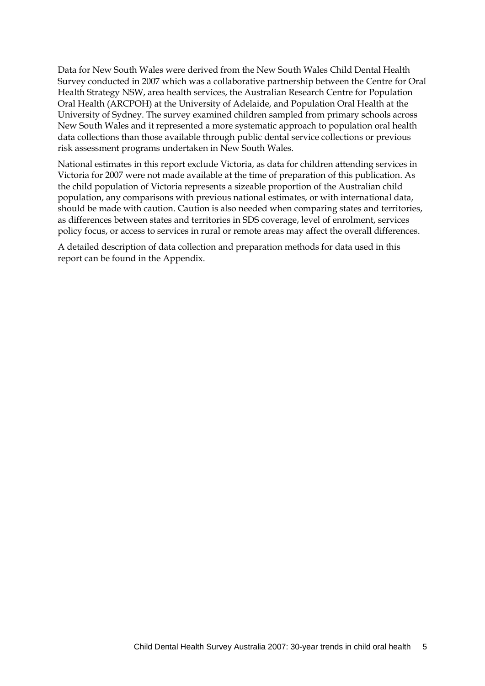Data for New South Wales were derived from the New South Wales Child Dental Health Survey conducted in 2007 which was a collaborative partnership between the Centre for Oral Health Strategy NSW, area health services, the Australian Research Centre for Population Oral Health (ARCPOH) at the University of Adelaide, and Population Oral Health at the University of Sydney. The survey examined children sampled from primary schools across New South Wales and it represented a more systematic approach to population oral health data collections than those available through public dental service collections or previous risk assessment programs undertaken in New South Wales.

National estimates in this report exclude Victoria, as data for children attending services in Victoria for 2007 were not made available at the time of preparation of this publication. As the child population of Victoria represents a sizeable proportion of the Australian child population, any comparisons with previous national estimates, or with international data, should be made with caution. Caution is also needed when comparing states and territories, as differences between states and territories in SDS coverage, level of enrolment, services policy focus, or access to services in rural or remote areas may affect the overall differences.

A detailed description of data collection and preparation methods for data used in this report can be found in the Appendix.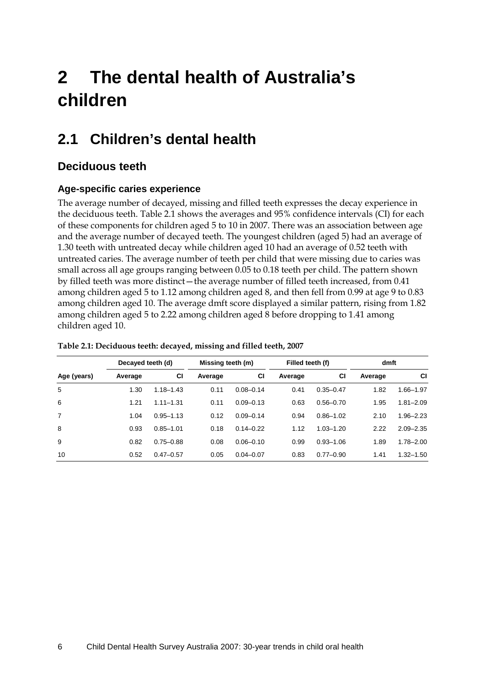# **2 The dental health of Australia's children**

# **2.1 Children's dental health**

### **Deciduous teeth**

### **Age-specific caries experience**

The average number of decayed, missing and filled teeth expresses the decay experience in the deciduous teeth. Table 2.1 shows the averages and 95% confidence intervals (CI) for each of these components for children aged 5 to 10 in 2007. There was an association between age and the average number of decayed teeth. The youngest children (aged 5) had an average of 1.30 teeth with untreated decay while children aged 10 had an average of 0.52 teeth with untreated caries. The average number of teeth per child that were missing due to caries was small across all age groups ranging between 0.05 to 0.18 teeth per child. The pattern shown by filled teeth was more distinct—the average number of filled teeth increased, from 0.41 among children aged 5 to 1.12 among children aged 8, and then fell from 0.99 at age 9 to 0.83 among children aged 10. The average dmft score displayed a similar pattern, rising from 1.82 among children aged 5 to 2.22 among children aged 8 before dropping to 1.41 among children aged 10.

|                | Decayed teeth (d) |               | Missing teeth (m) |               | Filled teeth (f) |               | dmft    |               |
|----------------|-------------------|---------------|-------------------|---------------|------------------|---------------|---------|---------------|
| Age (years)    | Average           | СI            | Average           | СI            | Average          | СI            | Average | СI            |
| 5              | 1.30              | $1.18 - 1.43$ | 0.11              | $0.08 - 0.14$ | 0.41             | $0.35 - 0.47$ | 1.82    | $1.66 - 1.97$ |
| 6              | 1.21              | $1.11 - 1.31$ | 0.11              | $0.09 - 0.13$ | 0.63             | $0.56 - 0.70$ | 1.95    | $1.81 - 2.09$ |
| $\overline{7}$ | 1.04              | $0.95 - 1.13$ | 0.12              | $0.09 - 0.14$ | 0.94             | $0.86 - 1.02$ | 2.10    | $1.96 - 2.23$ |
| 8              | 0.93              | $0.85 - 1.01$ | 0.18              | $0.14 - 0.22$ | 1.12             | $1.03 - 1.20$ | 2.22    | $2.09 - 2.35$ |
| 9              | 0.82              | $0.75 - 0.88$ | 0.08              | $0.06 - 0.10$ | 0.99             | $0.93 - 1.06$ | 1.89    | $1.78 - 2.00$ |
| 10             | 0.52              | $0.47 - 0.57$ | 0.05              | $0.04 - 0.07$ | 0.83             | $0.77 - 0.90$ | 1.41    | $1.32 - 1.50$ |

#### <span id="page-13-0"></span>**Table 2.1: Deciduous teeth: decayed, missing and filled teeth, 2007**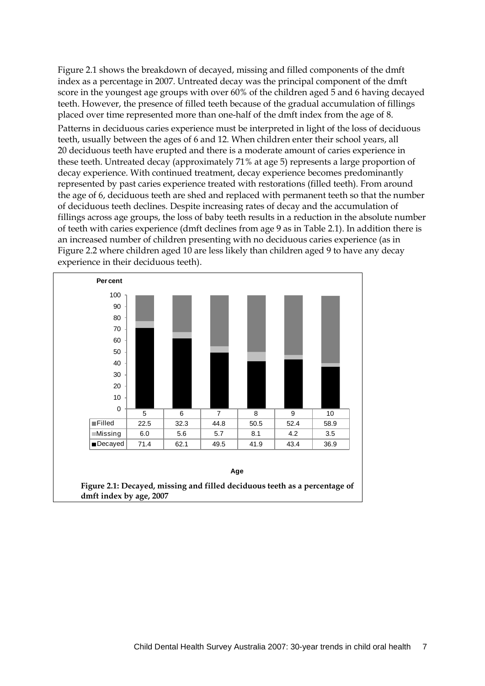Figure 2.1 shows the breakdown of decayed, missing and filled components of the dmft index as a percentage in 2007. Untreated decay was the principal component of the dmft score in the youngest age groups with over 60% of the children aged 5 and 6 having decayed teeth. However, the presence of filled teeth because of the gradual accumulation of fillings placed over time represented more than one-half of the dmft index from the age of 8.

Patterns in deciduous caries experience must be interpreted in light of the loss of deciduous teeth, usually between the ages of 6 and 12. When children enter their school years, all 20 deciduous teeth have erupted and there is a moderate amount of caries experience in these teeth. Untreated decay (approximately 71% at age 5) represents a large proportion of decay experience. With continued treatment, decay experience becomes predominantly represented by past caries experience treated with restorations (filled teeth). From around the age of 6, deciduous teeth are shed and replaced with permanent teeth so that the number of deciduous teeth declines. Despite increasing rates of decay and the accumulation of fillings across age groups, the loss of baby teeth results in a reduction in the absolute number of teeth with caries experience (dmft declines from age 9 as in Table 2.1). In addition there is an increased number of children presenting with no deciduous caries experience (as in Figure 2.2 where children aged 10 are less likely than children aged 9 to have any decay experience in their deciduous teeth).

<span id="page-14-0"></span>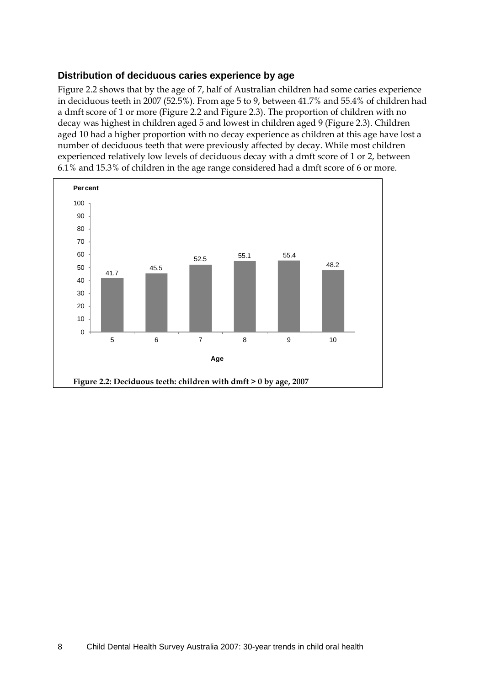#### **Distribution of deciduous caries experience by age**

Figure 2.2 shows that by the age of 7, half of Australian children had some caries experience in deciduous teeth in 2007 (52.5%). From age 5 to 9, between 41.7% and 55.4% of children had a dmft score of 1 or more [\(Figure 2.2](#page-15-0) and [Figure 2.3\)](#page-16-0). The proportion of children with no decay was highest in children aged 5 and lowest in children aged 9 (Figure 2.3). Children aged 10 had a higher proportion with no decay experience as children at this age have lost a number of deciduous teeth that were previously affected by decay. While most children experienced relatively low levels of deciduous decay with a dmft score of 1 or 2, between 6.1% and 15.3% of children in the age range considered had a dmft score of 6 or more.

<span id="page-15-0"></span>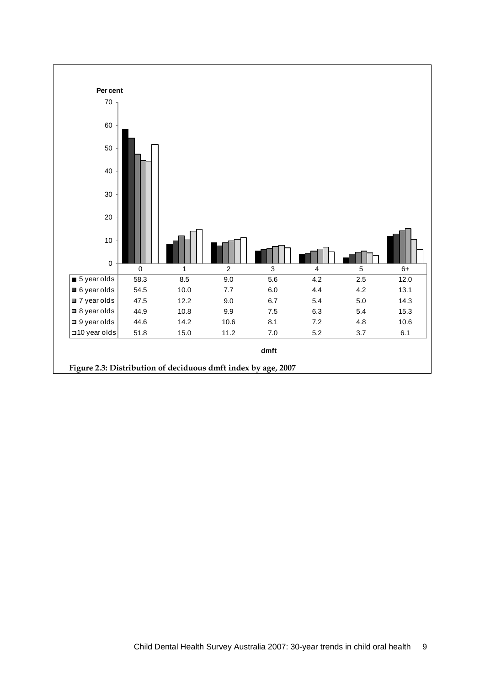<span id="page-16-0"></span>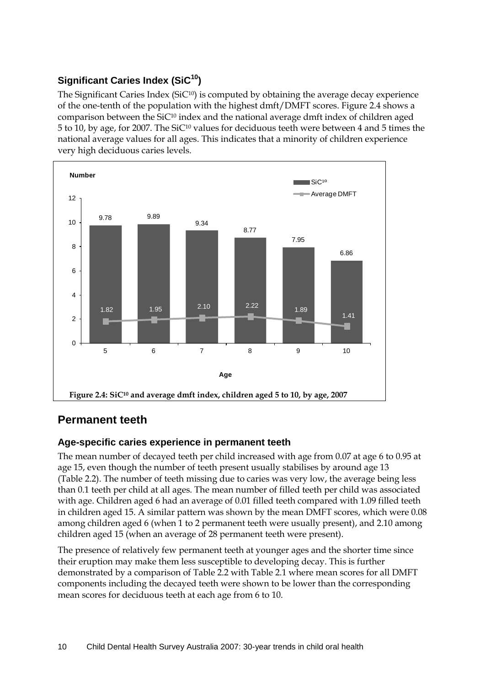### **Significant Caries Index (SiC10)**

The Significant Caries Index (SiC<sup>10</sup>) is computed by obtaining the average decay experience of the one-tenth of the population with the highest dmft/DMFT scores. Figure 2.4 shows a comparison between the SiC $10$  index and the national average dmft index of children aged 5 to 10, by age, for 2007. The SiC10 values for deciduous teeth were between 4 and 5 times the national average values for all ages. This indicates that a minority of children experience very high deciduous caries levels.



### <span id="page-17-0"></span>**Permanent teeth**

### **Age-specific caries experience in permanent teeth**

The mean number of decayed teeth per child increased with age from 0.07 at age 6 to 0.95 at age 15, even though the number of teeth present usually stabilises by around age 13 (Table 2.2). The number of teeth missing due to caries was very low, the average being less than 0.1 teeth per child at all ages. The mean number of filled teeth per child was associated with age. Children aged 6 had an average of 0.01 filled teeth compared with 1.09 filled teeth in children aged 15. A similar pattern was shown by the mean DMFT scores, which were 0.08 among children aged 6 (when 1 to 2 permanent teeth were usually present), and 2.10 among children aged 15 (when an average of 28 permanent teeth were present).

The presence of relatively few permanent teeth at younger ages and the shorter time since their eruption may make them less susceptible to developing decay. This is further demonstrated by a comparison of [Table 2.2](#page-18-0) with [Table 2.1](#page-13-0) where mean scores for all DMFT components including the decayed teeth were shown to be lower than the corresponding mean scores for deciduous teeth at each age from 6 to 10.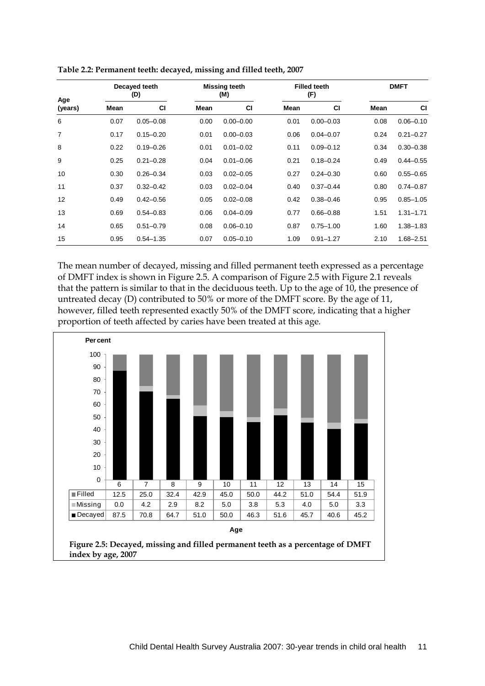| Age     | Decayed teeth<br>(D) |               |      | Missing teeth<br>(M) |      | <b>Filled teeth</b><br>(F) |      | <b>DMFT</b>   |  |  |
|---------|----------------------|---------------|------|----------------------|------|----------------------------|------|---------------|--|--|
| (years) | Mean                 | <b>CI</b>     | Mean | <b>CI</b>            | Mean | <b>CI</b>                  | Mean | CI            |  |  |
| 6       | 0.07                 | $0.05 - 0.08$ | 0.00 | $0.00 - 0.00$        | 0.01 | $0.00 - 0.03$              | 0.08 | $0.06 - 0.10$ |  |  |
| 7       | 0.17                 | $0.15 - 0.20$ | 0.01 | $0.00 - 0.03$        | 0.06 | $0.04 - 0.07$              | 0.24 | $0.21 - 0.27$ |  |  |
| 8       | 0.22                 | $0.19 - 0.26$ | 0.01 | $0.01 - 0.02$        | 0.11 | $0.09 - 0.12$              | 0.34 | $0.30 - 0.38$ |  |  |
| 9       | 0.25                 | $0.21 - 0.28$ | 0.04 | $0.01 - 0.06$        | 0.21 | $0.18 - 0.24$              | 0.49 | $0.44 - 0.55$ |  |  |
| 10      | 0.30                 | $0.26 - 0.34$ | 0.03 | $0.02 - 0.05$        | 0.27 | $0.24 - 0.30$              | 0.60 | $0.55 - 0.65$ |  |  |
| 11      | 0.37                 | $0.32 - 0.42$ | 0.03 | $0.02 - 0.04$        | 0.40 | $0.37 - 0.44$              | 0.80 | $0.74 - 0.87$ |  |  |
| 12      | 0.49                 | $0.42 - 0.56$ | 0.05 | $0.02 - 0.08$        | 0.42 | $0.38 - 0.46$              | 0.95 | $0.85 - 1.05$ |  |  |
| 13      | 0.69                 | $0.54 - 0.83$ | 0.06 | $0.04 - 0.09$        | 0.77 | $0.66 - 0.88$              | 1.51 | $1.31 - 1.71$ |  |  |
| 14      | 0.65                 | $0.51 - 0.79$ | 0.08 | $0.06 - 0.10$        | 0.87 | $0.75 - 1.00$              | 1.60 | $1.38 - 1.83$ |  |  |
| 15      | 0.95                 | $0.54 - 1.35$ | 0.07 | $0.05 - 0.10$        | 1.09 | $0.91 - 1.27$              | 2.10 | $1.68 - 2.51$ |  |  |

<span id="page-18-0"></span>

| Table 2.2: Permanent teeth: decayed, missing and filled teeth, 2007 |
|---------------------------------------------------------------------|
|---------------------------------------------------------------------|

The mean number of decayed, missing and filled permanent teeth expressed as a percentage of DMFT index is shown in [Figure 2.5.](#page-18-1) A comparison o[f Figure 2.5](#page-18-1) with [Figure 2.1](#page-14-0) reveals that the pattern is similar to that in the deciduous teeth. Up to the age of 10, the presence of untreated decay (D) contributed to 50% or more of the DMFT score. By the age of 11, however, filled teeth represented exactly 50% of the DMFT score, indicating that a higher proportion of teeth affected by caries have been treated at this age.

<span id="page-18-1"></span>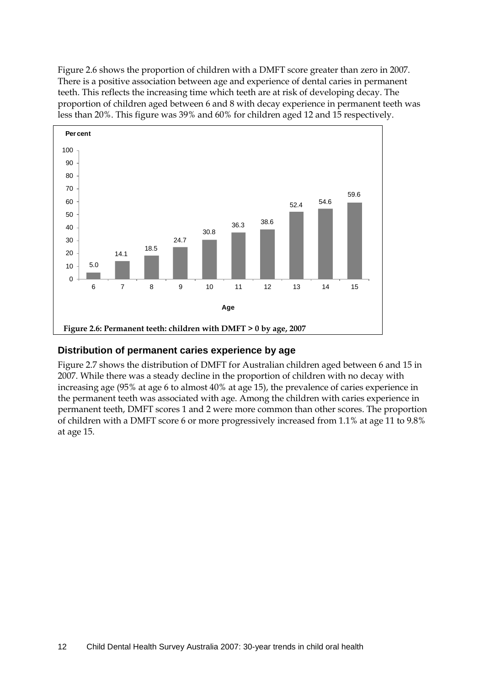[Figure 2.6](#page-19-0) shows the proportion of children with a DMFT score greater than zero in 2007. There is a positive association between age and experience of dental caries in permanent teeth. This reflects the increasing time which teeth are at risk of developing decay. The proportion of children aged between 6 and 8 with decay experience in permanent teeth was less than 20%. This figure was 39% and 60% for children aged 12 and 15 respectively.



#### <span id="page-19-0"></span>**Distribution of permanent caries experience by age**

[Figure 2.7](#page-20-0) shows the distribution of DMFT for Australian children aged between 6 and 15 in 2007. While there was a steady decline in the proportion of children with no decay with increasing age (95% at age 6 to almost 40% at age 15), the prevalence of caries experience in the permanent teeth was associated with age. Among the children with caries experience in permanent teeth, DMFT scores 1 and 2 were more common than other scores. The proportion of children with a DMFT score 6 or more progressively increased from 1.1% at age 11 to 9.8% at age 15.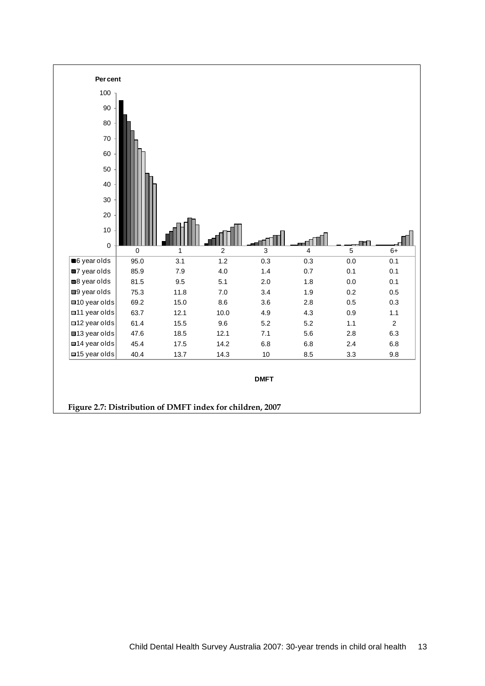<span id="page-20-0"></span>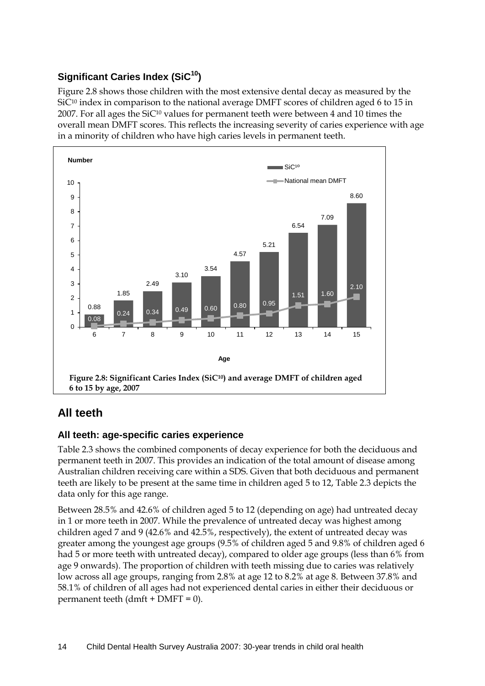### **Significant Caries Index (SiC<sup>10</sup>)**

Figure 2.8 shows those children with the most extensive dental decay as measured by the SiC<sup>10</sup> index in comparison to the national average DMFT scores of children aged 6 to 15 in 2007. For all ages the  $SiC^{10}$  values for permanent teeth were between 4 and 10 times the overall mean DMFT scores. This reflects the increasing severity of caries experience with age in a minority of children who have high caries levels in permanent teeth.



### <span id="page-21-0"></span>**All teeth**

### **All teeth: age-specific caries experience**

[Table 2.3](#page-22-0) shows the combined components of decay experience for both the deciduous and permanent teeth in 2007. This provides an indication of the total amount of disease among Australian children receiving care within a SDS. Given that both deciduous and permanent teeth are likely to be present at the same time in children aged 5 to 12, [Table 2.3](#page-22-0) depicts the data only for this age range.

Between 28.5% and 42.6% of children aged 5 to 12 (depending on age) had untreated decay in 1 or more teeth in 2007. While the prevalence of untreated decay was highest among children aged 7 and 9 (42.6% and 42.5%, respectively), the extent of untreated decay was greater among the youngest age groups (9.5% of children aged 5 and 9.8% of children aged 6 had 5 or more teeth with untreated decay), compared to older age groups (less than 6% from age 9 onwards). The proportion of children with teeth missing due to caries was relatively low across all age groups, ranging from 2.8% at age 12 to 8.2% at age 8. Between 37.8% and 58.1% of children of all ages had not experienced dental caries in either their deciduous or permanent teeth  $(dmft + DMFT = 0)$ .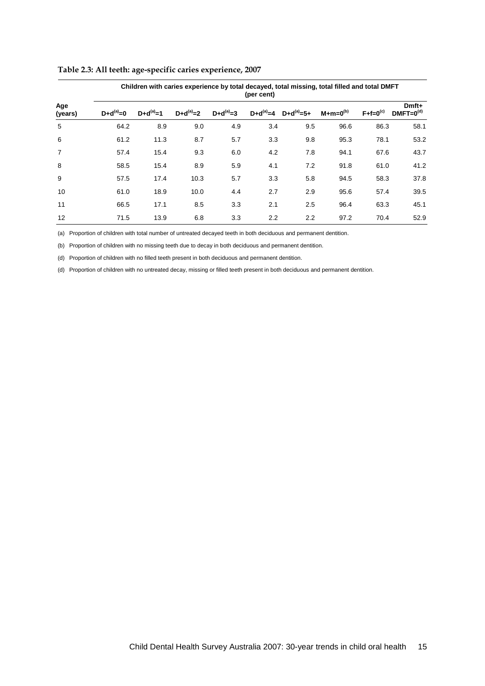|                | Children with caries experience by total decayed, total missing, total filled and total DMFT<br>(per cent) |               |               |               |     |                              |               |                   |                         |  |  |  |  |
|----------------|------------------------------------------------------------------------------------------------------------|---------------|---------------|---------------|-----|------------------------------|---------------|-------------------|-------------------------|--|--|--|--|
| Age<br>(years) | $D+d^{(a)}=0$                                                                                              | $D+d^{(a)}=1$ | $D+d^{(a)}=2$ | $D+d^{(a)}=3$ |     | $D+d^{(a)}=4$ $D+d^{(a)}=5+$ | $M+m=0^{(b)}$ | $F + f = 0^{(c)}$ | Dmft+<br>$DMFT=0^{(d)}$ |  |  |  |  |
| 5              | 64.2                                                                                                       | 8.9           | 9.0           | 4.9           | 3.4 | 9.5                          | 96.6          | 86.3              | 58.1                    |  |  |  |  |
| 6              | 61.2                                                                                                       | 11.3          | 8.7           | 5.7           | 3.3 | 9.8                          | 95.3          | 78.1              | 53.2                    |  |  |  |  |
| $\overline{7}$ | 57.4                                                                                                       | 15.4          | 9.3           | 6.0           | 4.2 | 7.8                          | 94.1          | 67.6              | 43.7                    |  |  |  |  |
| 8              | 58.5                                                                                                       | 15.4          | 8.9           | 5.9           | 4.1 | 7.2                          | 91.8          | 61.0              | 41.2                    |  |  |  |  |
| 9              | 57.5                                                                                                       | 17.4          | 10.3          | 5.7           | 3.3 | 5.8                          | 94.5          | 58.3              | 37.8                    |  |  |  |  |
| 10             | 61.0                                                                                                       | 18.9          | 10.0          | 4.4           | 2.7 | 2.9                          | 95.6          | 57.4              | 39.5                    |  |  |  |  |
| 11             | 66.5                                                                                                       | 17.1          | 8.5           | 3.3           | 2.1 | 2.5                          | 96.4          | 63.3              | 45.1                    |  |  |  |  |
| 12             | 71.5                                                                                                       | 13.9          | 6.8           | 3.3           | 2.2 | 2.2                          | 97.2          | 70.4              | 52.9                    |  |  |  |  |

#### <span id="page-22-0"></span>**Table 2.3: All teeth: age-specific caries experience, 2007**

(a) Proportion of children with total number of untreated decayed teeth in both deciduous and permanent dentition.

(b) Proportion of children with no missing teeth due to decay in both deciduous and permanent dentition.

(d) Proportion of children with no filled teeth present in both deciduous and permanent dentition.

(d) Proportion of children with no untreated decay, missing or filled teeth present in both deciduous and permanent dentition.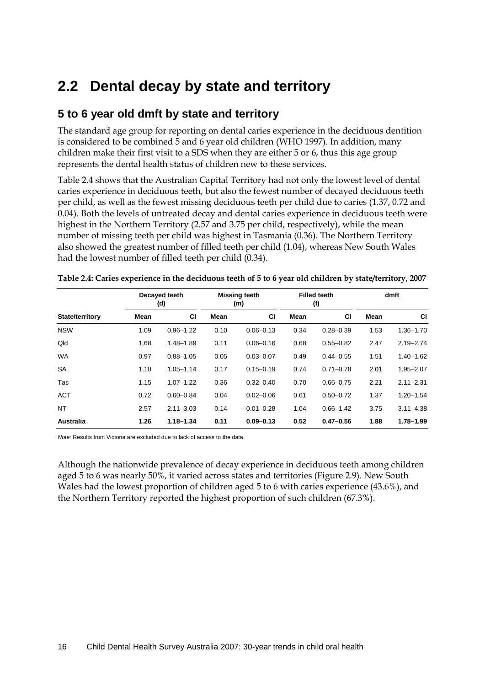# **2.2 Dental decay by state and territory**

### **5 to 6 year old dmft by state and territory**

The standard age group for reporting on dental caries experience in the deciduous dentition is considered to be combined 5 and 6 year old children (WHO 1997). In addition, many children make their first visit to a SDS when they are either 5 or 6, thus this age group represents the dental health status of children new to these services.

[Table 2.4](#page-23-0) shows that the Australian Capital Territory had not only the lowest level of dental caries experience in deciduous teeth, but also the fewest number of decayed deciduous teeth per child, as well as the fewest missing deciduous teeth per child due to caries (1.37, 0.72 and 0.04). Both the levels of untreated decay and dental caries experience in deciduous teeth were highest in the Northern Territory (2.57 and 3.75 per child, respectively), while the mean number of missing teeth per child was highest in Tasmania (0.36). The Northern Territory also showed the greatest number of filled teeth per child (1.04), whereas New South Wales had the lowest number of filled teeth per child (0.34).

|                        |      | Decayed teeth<br>(d) |      | <b>Missing teeth</b><br>(m) |      | <b>Filled teeth</b><br>(f) | dmft |               |
|------------------------|------|----------------------|------|-----------------------------|------|----------------------------|------|---------------|
| <b>State/territory</b> | Mean | <b>CI</b>            | Mean | <b>CI</b>                   | Mean | <b>CI</b>                  | Mean | <b>CI</b>     |
| <b>NSW</b>             | 1.09 | $0.96 - 1.22$        | 0.10 | $0.06 - 0.13$               | 0.34 | $0.28 - 0.39$              | 1.53 | $1.36 - 1.70$ |
| Qld                    | 1.68 | $1.48 - 1.89$        | 0.11 | $0.06 - 0.16$               | 0.68 | $0.55 - 0.82$              | 2.47 | $2.19 - 2.74$ |
| <b>WA</b>              | 0.97 | $0.88 - 1.05$        | 0.05 | $0.03 - 0.07$               | 0.49 | $0.44 - 0.55$              | 1.51 | $1.40 - 1.62$ |
| <b>SA</b>              | 1.10 | $1.05 - 1.14$        | 0.17 | $0.15 - 0.19$               | 0.74 | $0.71 - 0.78$              | 2.01 | $1.95 - 2.07$ |
| Tas                    | 1.15 | $1.07 - 1.22$        | 0.36 | $0.32 - 0.40$               | 0.70 | $0.66 - 0.75$              | 2.21 | $2.11 - 2.31$ |
| <b>ACT</b>             | 0.72 | $0.60 - 0.84$        | 0.04 | $0.02 - 0.06$               | 0.61 | $0.50 - 0.72$              | 1.37 | $1.20 - 1.54$ |
| <b>NT</b>              | 2.57 | $2.11 - 3.03$        | 0.14 | $-0.01 - 0.28$              | 1.04 | $0.66 - 1.42$              | 3.75 | $3.11 - 4.38$ |
| <b>Australia</b>       | 1.26 | $1.18 - 1.34$        | 0.11 | $0.09 - 0.13$               | 0.52 | $0.47 - 0.56$              | 1.88 | $1.78 - 1.99$ |

<span id="page-23-0"></span>**Table 2.4: Caries experience in the deciduous teeth of 5 to 6 year old children by state/territory, 2007**

*Note:* Results from Victoria are excluded due to lack of access to the data.

Although the nationwide prevalence of decay experience in deciduous teeth among children aged 5 to 6 was nearly 50%, it varied across states and territories (Figure 2.9). New South Wales had the lowest proportion of children aged 5 to 6 with caries experience (43.6%), and the Northern Territory reported the highest proportion of such children (67.3%).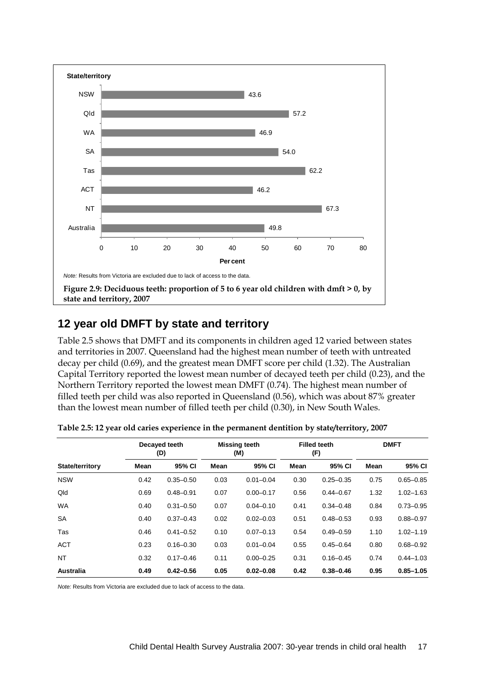

### <span id="page-24-1"></span>**12 year old DMFT by state and territory**

[Table 2.5](#page-24-0) shows that DMFT and its components in children aged 12 varied between states and territories in 2007. Queensland had the highest mean number of teeth with untreated decay per child (0.69), and the greatest mean DMFT score per child (1.32). The Australian Capital Territory reported the lowest mean number of decayed teeth per child (0.23), and the Northern Territory reported the lowest mean DMFT (0.74). The highest mean number of filled teeth per child was also reported in Queensland (0.56), which was about 87% greater than the lowest mean number of filled teeth per child (0.30), in New South Wales.

|                 |      | Decayed teeth<br>(D) |      | <b>Missing teeth</b><br>(M) |      | <b>Filled teeth</b><br>(F) | <b>DMFT</b> |               |
|-----------------|------|----------------------|------|-----------------------------|------|----------------------------|-------------|---------------|
| State/territory | Mean | 95% CI               | Mean | 95% CI                      | Mean | 95% CI                     | Mean        | 95% CI        |
| <b>NSW</b>      | 0.42 | $0.35 - 0.50$        | 0.03 | $0.01 - 0.04$               | 0.30 | $0.25 - 0.35$              | 0.75        | $0.65 - 0.85$ |
| Qld             | 0.69 | $0.48 - 0.91$        | 0.07 | $0.00 - 0.17$               | 0.56 | $0.44 - 0.67$              | 1.32        | $1.02 - 1.63$ |
| <b>WA</b>       | 0.40 | $0.31 - 0.50$        | 0.07 | $0.04 - 0.10$               | 0.41 | $0.34 - 0.48$              | 0.84        | $0.73 - 0.95$ |
| <b>SA</b>       | 0.40 | $0.37 - 0.43$        | 0.02 | $0.02 - 0.03$               | 0.51 | $0.48 - 0.53$              | 0.93        | $0.88 - 0.97$ |
| Tas             | 0.46 | $0.41 - 0.52$        | 0.10 | $0.07 - 0.13$               | 0.54 | $0.49 - 0.59$              | 1.10        | $1.02 - 1.19$ |
| <b>ACT</b>      | 0.23 | $0.16 - 0.30$        | 0.03 | $0.01 - 0.04$               | 0.55 | $0.45 - 0.64$              | 0.80        | $0.68 - 0.92$ |
| <b>NT</b>       | 0.32 | $0.17 - 0.46$        | 0.11 | $0.00 - 0.25$               | 0.31 | $0.16 - 0.45$              | 0.74        | $0.44 - 1.03$ |
| Australia       | 0.49 | $0.42 - 0.56$        | 0.05 | $0.02 - 0.08$               | 0.42 | $0.38 - 0.46$              | 0.95        | $0.85 - 1.05$ |

<span id="page-24-0"></span>**Table 2.5: 12 year old caries experience in the permanent dentition by state/territory, 2007**

*Note:* Results from Victoria are excluded due to lack of access to the data.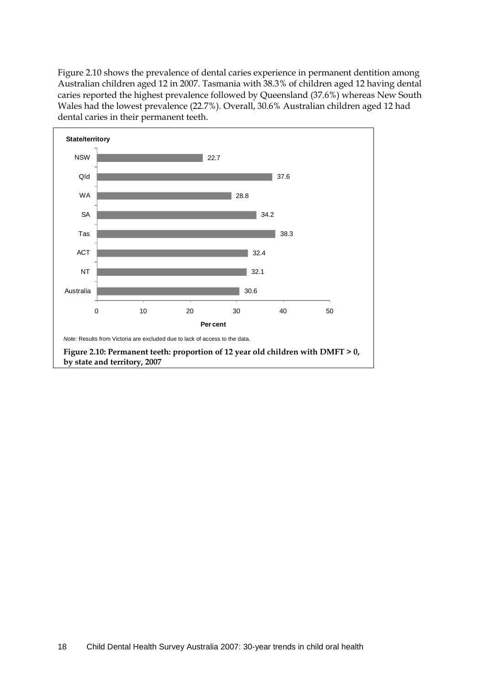[Figure 2.10](#page-25-0) shows the prevalence of dental caries experience in permanent dentition among Australian children aged 12 in 2007. Tasmania with 38.3% of children aged 12 having dental caries reported the highest prevalence followed by Queensland (37.6%) whereas New South Wales had the lowest prevalence (22.7%). Overall, 30.6% Australian children aged 12 had dental caries in their permanent teeth.

<span id="page-25-0"></span>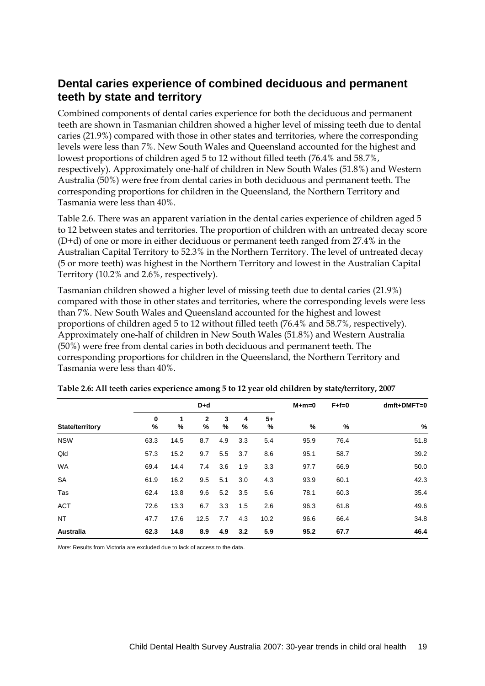### **Dental caries experience of combined deciduous and permanent teeth by state and territory**

Combined components of dental caries experience for both the deciduous and permanent teeth are shown in [Tasmania](#page-26-0)n children showed a higher level of missing teeth due to dental caries (21.9%) compared with those in other states and territories, where the corresponding levels were less than 7%. New South Wales and Queensland accounted for the highest and lowest proportions of children aged 5 to 12 without filled teeth (76.4% and 58.7%, respectively). Approximately one-half of children in New South Wales (51.8%) and Western Australia (50%) were free from dental caries in both deciduous and permanent teeth. The corresponding proportions for children in the Queensland, the Northern Territory and Tasmania were less than 40%.

Table 2.6. There was an apparent variation in the dental caries experience of children aged 5 to 12 between states and territories. The proportion of children with an untreated decay score (D+d) of one or more in either deciduous or permanent teeth ranged from 27.4% in the Australian Capital Territory to 52.3% in the Northern Territory. The level of untreated decay (5 or more teeth) was highest in the Northern Territory and lowest in the Australian Capital Territory (10.2% and 2.6%, respectively).

<span id="page-26-0"></span>Tasmanian children showed a higher level of missing teeth due to dental caries (21.9%) compared with those in other states and territories, where the corresponding levels were less than 7%. New South Wales and Queensland accounted for the highest and lowest proportions of children aged 5 to 12 without filled teeth (76.4% and 58.7%, respectively). Approximately one-half of children in New South Wales (51.8%) and Western Australia (50%) were free from dental caries in both deciduous and permanent teeth. The corresponding proportions for children in the Queensland, the Northern Territory and Tasmania were less than 40%.

|                        |                  | $D+d$  |        |        |        |           |      | $F + f = 0$ | dmft+DMFT=0 |
|------------------------|------------------|--------|--------|--------|--------|-----------|------|-------------|-------------|
| <b>State/territory</b> | $\mathbf 0$<br>% | 1<br>% | 2<br>% | 3<br>% | 4<br>% | $5+$<br>% | %    | %           | $\%$        |
| <b>NSW</b>             | 63.3             | 14.5   | 8.7    | 4.9    | 3.3    | 5.4       | 95.9 | 76.4        | 51.8        |
| Qld                    | 57.3             | 15.2   | 9.7    | 5.5    | 3.7    | 8.6       | 95.1 | 58.7        | 39.2        |
| <b>WA</b>              | 69.4             | 14.4   | 7.4    | 3.6    | 1.9    | 3.3       | 97.7 | 66.9        | 50.0        |
| <b>SA</b>              | 61.9             | 16.2   | 9.5    | 5.1    | 3.0    | 4.3       | 93.9 | 60.1        | 42.3        |
| Tas                    | 62.4             | 13.8   | 9.6    | 5.2    | 3.5    | 5.6       | 78.1 | 60.3        | 35.4        |
| <b>ACT</b>             | 72.6             | 13.3   | 6.7    | 3.3    | 1.5    | 2.6       | 96.3 | 61.8        | 49.6        |
| <b>NT</b>              | 47.7             | 17.6   | 12.5   | 7.7    | 4.3    | 10.2      | 96.6 | 66.4        | 34.8        |
| <b>Australia</b>       | 62.3             | 14.8   | 8.9    | 4.9    | 3.2    | 5.9       | 95.2 | 67.7        | 46.4        |

**Table 2.6: All teeth caries experience among 5 to 12 year old children by state/territory, 2007**

*Note:* Results from Victoria are excluded due to lack of access to the data.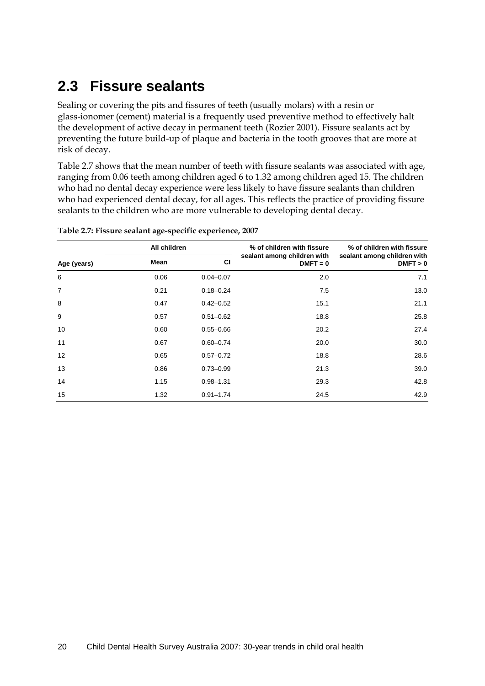# **2.3 Fissure sealants**

Sealing or covering the pits and fissures of teeth (usually molars) with a resin or glass-ionomer (cement) material is a frequently used preventive method to effectively halt the development of active decay in permanent teeth (Rozier 2001). Fissure sealants act by preventing the future build-up of plaque and bacteria in the tooth grooves that are more at risk of decay.

[Table 2.7](#page-27-0) shows that the mean number of teeth with fissure sealants was associated with age, ranging from 0.06 teeth among children aged 6 to 1.32 among children aged 15. The children who had no dental decay experience were less likely to have fissure sealants than children who had experienced dental decay, for all ages. This reflects the practice of providing fissure sealants to the children who are more vulnerable to developing dental decay.

|                | All children |               | % of children with fissure                | % of children with fissure              |
|----------------|--------------|---------------|-------------------------------------------|-----------------------------------------|
| Age (years)    | Mean         | <b>CI</b>     | sealant among children with<br>$DMFT = 0$ | sealant among children with<br>DMFT > 0 |
| 6              | 0.06         | $0.04 - 0.07$ | 2.0                                       | 7.1                                     |
| $\overline{7}$ | 0.21         | $0.18 - 0.24$ | 7.5                                       | 13.0                                    |
| 8              | 0.47         | $0.42 - 0.52$ | 15.1                                      | 21.1                                    |
| 9              | 0.57         | $0.51 - 0.62$ | 18.8                                      | 25.8                                    |
| 10             | 0.60         | $0.55 - 0.66$ | 20.2                                      | 27.4                                    |
| 11             | 0.67         | $0.60 - 0.74$ | 20.0                                      | 30.0                                    |
| 12             | 0.65         | $0.57 - 0.72$ | 18.8                                      | 28.6                                    |
| 13             | 0.86         | $0.73 - 0.99$ | 21.3                                      | 39.0                                    |
| 14             | 1.15         | $0.98 - 1.31$ | 29.3                                      | 42.8                                    |
| 15             | 1.32         | $0.91 - 1.74$ | 24.5                                      | 42.9                                    |

<span id="page-27-0"></span>**Table 2.7: Fissure sealant age-specific experience, 2007**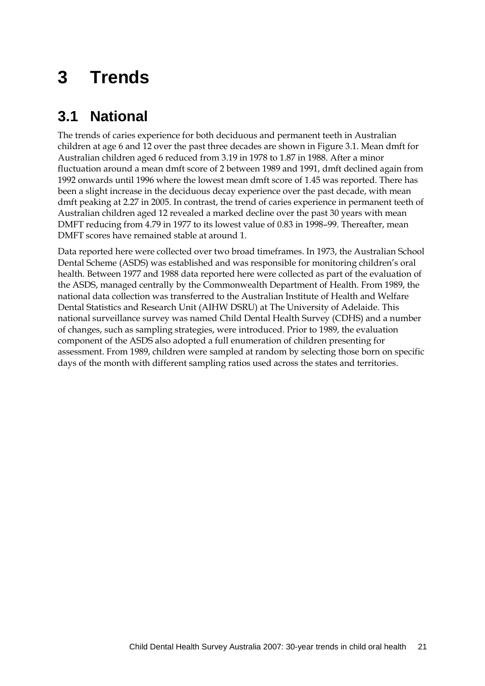# **3 Trends**

# **3.1 National**

The trends of caries experience for both deciduous and permanent teeth in Australian children at age 6 and 12 over the past three decades are shown in [Figure 3.1.](#page-29-0) Mean dmft for Australian children aged 6 reduced from 3.19 in 1978 to 1.87 in 1988. After a minor fluctuation around a mean dmft score of 2 between 1989 and 1991, dmft declined again from 1992 onwards until 1996 where the lowest mean dmft score of 1.45 was reported. There has been a slight increase in the deciduous decay experience over the past decade, with mean dmft peaking at 2.27 in 2005. In contrast, the trend of caries experience in permanent teeth of Australian children aged 12 revealed a marked decline over the past 30 years with mean DMFT reducing from 4.79 in 1977 to its lowest value of 0.83 in 1998–99. Thereafter, mean DMFT scores have remained stable at around 1.

Data reported here were collected over two broad timeframes. In 1973, the Australian School Dental Scheme (ASDS) was established and was responsible for monitoring children's oral health. Between 1977 and 1988 data reported here were collected as part of the evaluation of the ASDS, managed centrally by the Commonwealth Department of Health. From 1989, the national data collection was transferred to the Australian Institute of Health and Welfare Dental Statistics and Research Unit (AIHW DSRU) at The University of Adelaide. This national surveillance survey was named Child Dental Health Survey (CDHS) and a number of changes, such as sampling strategies, were introduced. Prior to 1989, the evaluation component of the ASDS also adopted a full enumeration of children presenting for assessment. From 1989, children were sampled at random by selecting those born on specific days of the month with different sampling ratios used across the states and territories.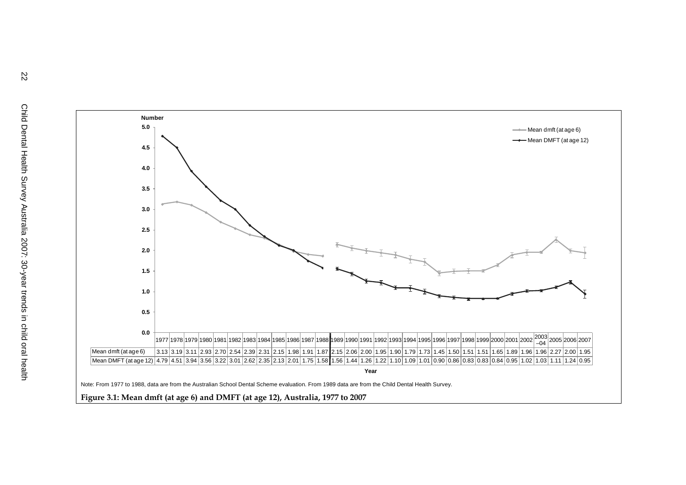<span id="page-29-0"></span>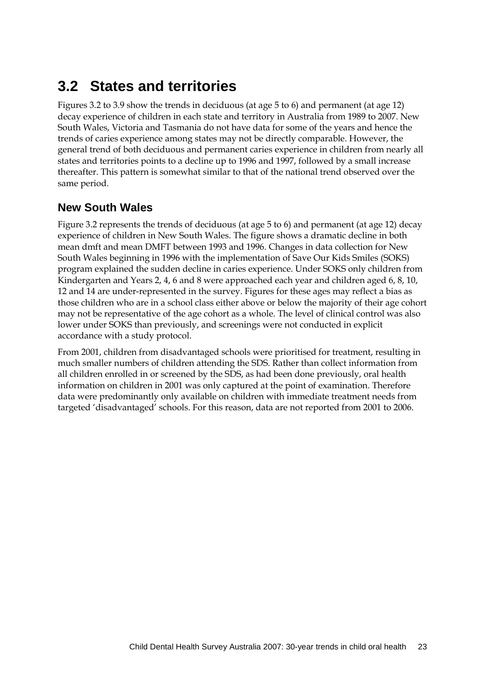# **3.2 States and territories**

Figures 3.2 to 3.9 show the trends in deciduous (at age 5 to 6) and permanent (at age 12) decay experience of children in each state and territory in Australia from 1989 to 2007. New South Wales, Victoria and Tasmania do not have data for some of the years and hence the trends of caries experience among states may not be directly comparable. However, the general trend of both deciduous and permanent caries experience in children from nearly all states and territories points to a decline up to 1996 and 1997, followed by a small increase thereafter. This pattern is somewhat similar to that of the national trend observed over the same period.

### **New South Wales**

[Figure 3.2](#page-31-0) represents the trends of deciduous (at age 5 to 6) and permanent (at age 12) decay experience of children in New South Wales. The figure shows a dramatic decline in both mean dmft and mean DMFT between 1993 and 1996. Changes in data collection for New South Wales beginning in 1996 with the implementation of Save Our Kids Smiles (SOKS) program explained the sudden decline in caries experience. Under SOKS only children from Kindergarten and Years 2, 4, 6 and 8 were approached each year and children aged 6, 8, 10, 12 and 14 are under-represented in the survey. Figures for these ages may reflect a bias as those children who are in a school class either above or below the majority of their age cohort may not be representative of the age cohort as a whole. The level of clinical control was also lower under SOKS than previously, and screenings were not conducted in explicit accordance with a study protocol.

From 2001, children from disadvantaged schools were prioritised for treatment, resulting in much smaller numbers of children attending the SDS. Rather than collect information from all children enrolled in or screened by the SDS, as had been done previously, oral health information on children in 2001 was only captured at the point of examination. Therefore data were predominantly only available on children with immediate treatment needs from targeted 'disadvantaged' schools. For this reason, data are not reported from 2001 to 2006.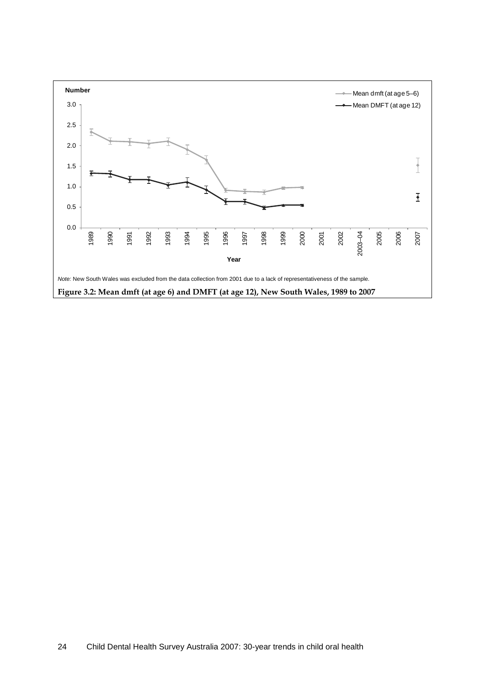<span id="page-31-0"></span>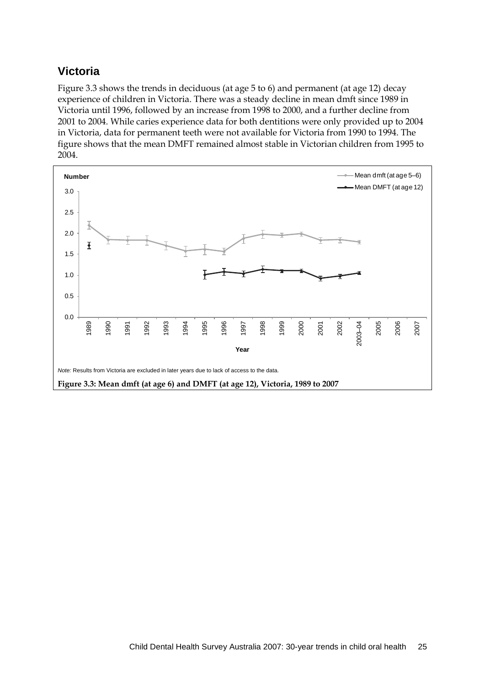### **Victoria**

[Figure 3.3](#page-32-0) shows the trends in deciduous (at age 5 to 6) and permanent (at age 12) decay experience of children in Victoria. There was a steady decline in mean dmft since 1989 in Victoria until 1996, followed by an increase from 1998 to 2000, and a further decline from 2001 to 2004. While caries experience data for both dentitions were only provided up to 2004 in Victoria, data for permanent teeth were not available for Victoria from 1990 to 1994. The figure shows that the mean DMFT remained almost stable in Victorian children from 1995 to 2004.

<span id="page-32-0"></span>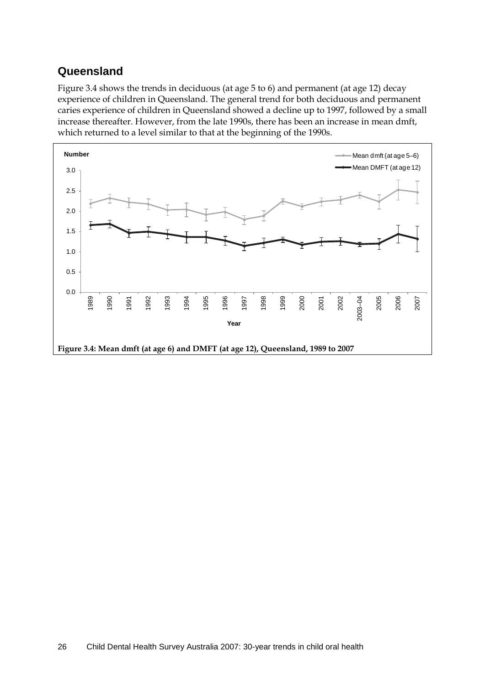### **Queensland**

Figure 3.4 shows the trends in deciduous (at age 5 to 6) and permanent (at age 12) decay experience of children in Queensland. The general trend for both deciduous and permanent caries experience of children in Queensland showed a decline up to 1997, followed by a small increase thereafter. However, from the late 1990s, there has been an increase in mean dmft, which returned to a level similar to that at the beginning of the 1990s.

<span id="page-33-0"></span>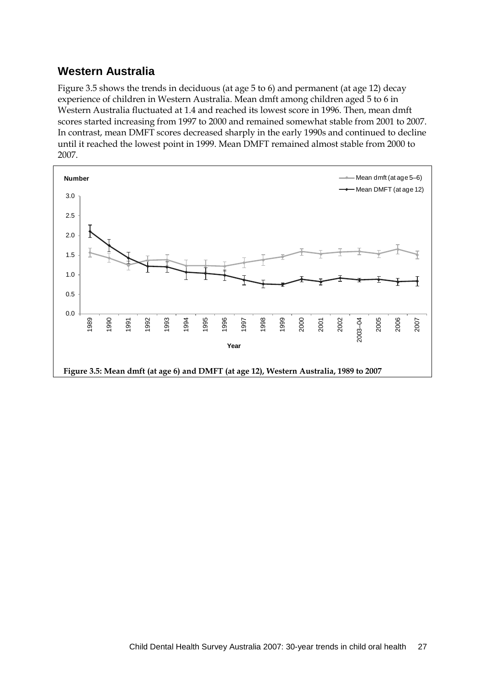### **Western Australia**

Figure 3.5 shows the trends in deciduous (at age 5 to 6) and permanent (at age 12) decay experience of children in Western Australia. Mean dmft among children aged 5 to 6 in Western Australia fluctuated at 1.4 and reached its lowest score in 1996. Then, mean dmft scores started increasing from 1997 to 2000 and remained somewhat stable from 2001 to 2007. In contrast, mean DMFT scores decreased sharply in the early 1990s and continued to decline until it reached the lowest point in 1999. Mean DMFT remained almost stable from 2000 to 2007.

<span id="page-34-0"></span>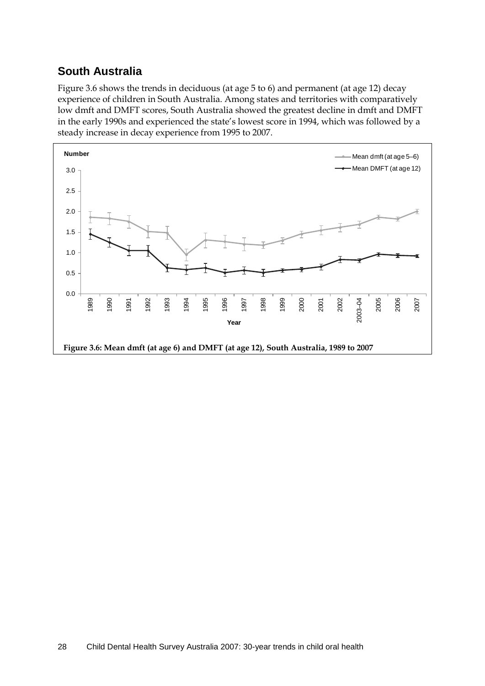## **South Australia**

Figure 3.6 shows the trends in deciduous (at age 5 to 6) and permanent (at age 12) decay experience of children in South Australia. Among states and territories with comparatively low dmft and DMFT scores, South Australia showed the greatest decline in dmft and DMFT in the early 1990s and experienced the state's lowest score in 1994, which was followed by a steady increase in decay experience from 1995 to 2007.

<span id="page-35-0"></span>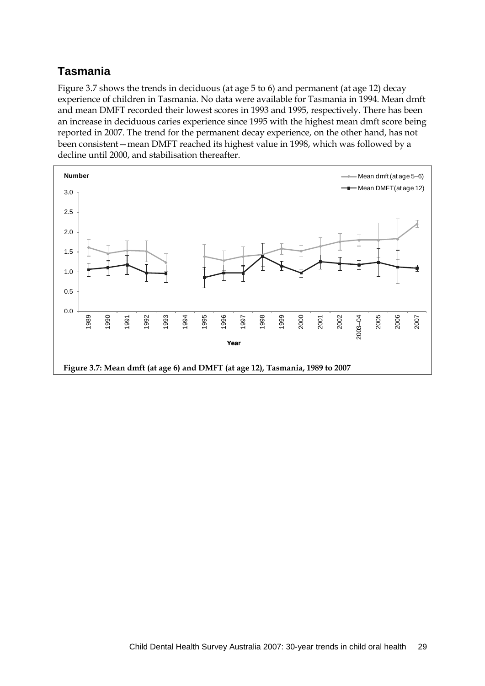## **Tasmania**

Figure 3.7 shows the trends in deciduous (at age 5 to 6) and permanent (at age 12) decay experience of children in Tasmania. No data were available for Tasmania in 1994. Mean dmft and mean DMFT recorded their lowest scores in 1993 and 1995, respectively. There has been an increase in deciduous caries experience since 1995 with the highest mean dmft score being reported in 2007. The trend for the permanent decay experience, on the other hand, has not been consistent—mean DMFT reached its highest value in 1998, which was followed by a decline until 2000, and stabilisation thereafter.

<span id="page-36-0"></span>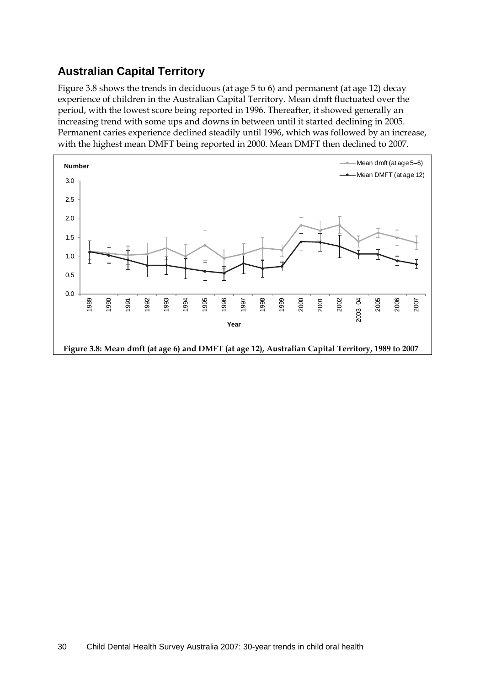## **Australian Capital Territory**

Figure 3.8 shows the trends in deciduous (at age 5 to 6) and permanent (at age 12) decay experience of children in the Australian Capital Territory. Mean dmft fluctuated over the period, with the lowest score being reported in 1996. Thereafter, it showed generally an increasing trend with some ups and downs in between until it started declining in 2005. Permanent caries experience declined steadily until 1996, which was followed by an increase, with the highest mean DMFT being reported in 2000. Mean DMFT then declined to 2007.

<span id="page-37-0"></span>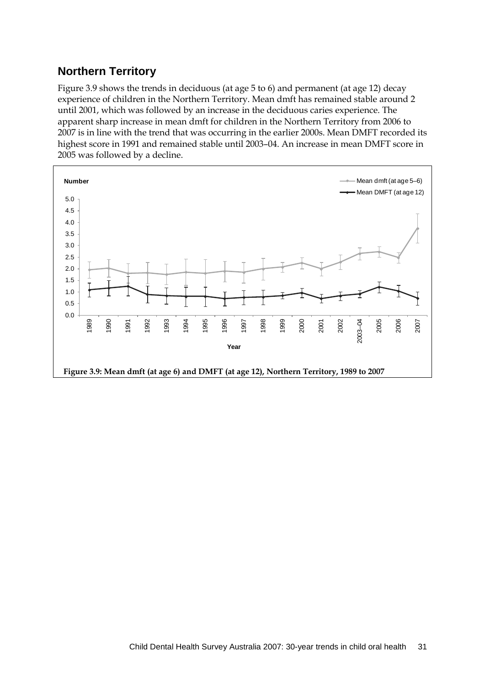### **Northern Territory**

Figure 3.9 shows the trends in deciduous (at age 5 to 6) and permanent (at age 12) decay experience of children in the Northern Territory. Mean dmft has remained stable around 2 until 2001, which was followed by an increase in the deciduous caries experience. The apparent sharp increase in mean dmft for children in the Northern Territory from 2006 to 2007 is in line with the trend that was occurring in the earlier 2000s. Mean DMFT recorded its highest score in 1991 and remained stable until 2003–04. An increase in mean DMFT score in 2005 was followed by a decline.

<span id="page-38-0"></span>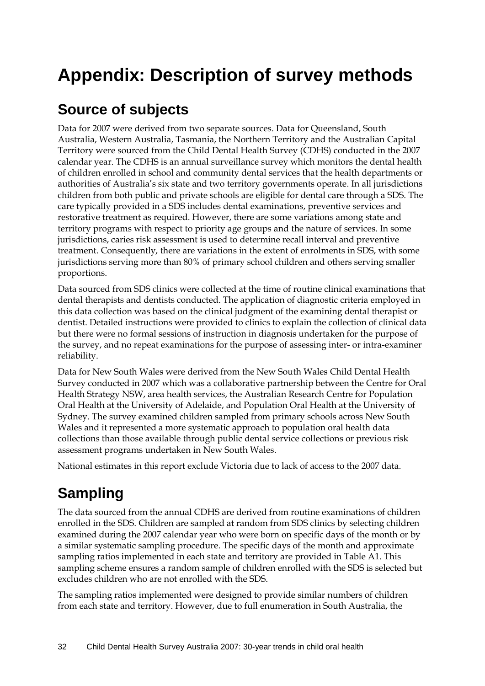# **Appendix: Description of survey methods**

## **Source of subjects**

Data for 2007 were derived from two separate sources. Data for Queensland, South Australia, Western Australia, Tasmania, the Northern Territory and the Australian Capital Territory were sourced from the Child Dental Health Survey (CDHS) conducted in the 2007 calendar year. The CDHS is an annual surveillance survey which monitors the dental health of children enrolled in school and community dental services that the health departments or authorities of Australia's six state and two territory governments operate. In all jurisdictions children from both public and private schools are eligible for dental care through a SDS. The care typically provided in a SDS includes dental examinations, preventive services and restorative treatment as required. However, there are some variations among state and territory programs with respect to priority age groups and the nature of services. In some jurisdictions, caries risk assessment is used to determine recall interval and preventive treatment. Consequently, there are variations in the extent of enrolments in SDS, with some jurisdictions serving more than 80% of primary school children and others serving smaller proportions.

Data sourced from SDS clinics were collected at the time of routine clinical examinations that dental therapists and dentists conducted. The application of diagnostic criteria employed in this data collection was based on the clinical judgment of the examining dental therapist or dentist. Detailed instructions were provided to clinics to explain the collection of clinical data but there were no formal sessions of instruction in diagnosis undertaken for the purpose of the survey, and no repeat examinations for the purpose of assessing inter- or intra-examiner reliability.

Data for New South Wales were derived from the New South Wales Child Dental Health Survey conducted in 2007 which was a collaborative partnership between the Centre for Oral Health Strategy NSW, area health services, the Australian Research Centre for Population Oral Health at the University of Adelaide, and Population Oral Health at the University of Sydney. The survey examined children sampled from primary schools across New South Wales and it represented a more systematic approach to population oral health data collections than those available through public dental service collections or previous risk assessment programs undertaken in New South Wales.

National estimates in this report exclude Victoria due to lack of access to the 2007 data.

# **Sampling**

The data sourced from the annual CDHS are derived from routine examinations of children enrolled in the SDS. Children are sampled at random from SDS clinics by selecting children examined during the 2007 calendar year who were born on specific days of the month or by a similar systematic sampling procedure. The specific days of the month and approximate sampling ratios implemented in each state and territory are provided in [Table A1.](#page-40-0) This sampling scheme ensures a random sample of children enrolled with the SDS is selected but excludes children who are not enrolled with the SDS.

The sampling ratios implemented were designed to provide similar numbers of children from each state and territory. However, due to full enumeration in South Australia, the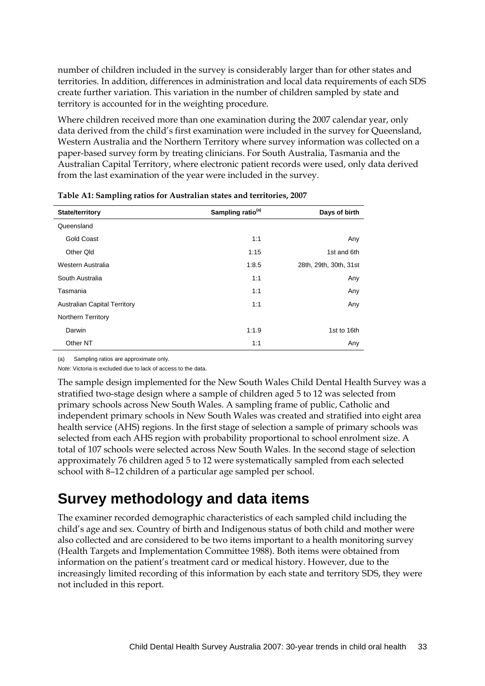number of children included in the survey is considerably larger than for other states and territories. In addition, differences in administration and local data requirements of each SDS create further variation. This variation in the number of children sampled by state and territory is accounted for in the weighting procedure.

Where children received more than one examination during the 2007 calendar year, only data derived from the child's first examination were included in the survey for Queensland, Western Australia and the Northern Territory where survey information was collected on a paper-based survey form by treating clinicians. For South Australia, Tasmania and the Australian Capital Territory, where electronic patient records were used, only data derived from the last examination of the year were included in the survey.

| State/territory                     | Sampling ratio <sup>(a)</sup> | Days of birth          |
|-------------------------------------|-------------------------------|------------------------|
| Queensland                          |                               |                        |
| <b>Gold Coast</b>                   | 1:1                           | Any                    |
| Other Qld                           | 1:15                          | 1st and 6th            |
| Western Australia                   | 1:8.5                         | 28th, 29th, 30th, 31st |
| South Australia                     | 1:1                           | Any                    |
| Tasmania                            | 1:1                           | Any                    |
| <b>Australian Capital Territory</b> | 1:1                           | Any                    |
| <b>Northern Territory</b>           |                               |                        |
| Darwin                              | 1:1.9                         | 1st to 16th            |
| Other NT                            | 1:1                           | Any                    |

<span id="page-40-0"></span>**Table A1: Sampling ratios for Australian states and territories, 2007**

(a) Sampling ratios are approximate only.

*Note:* Victoria is excluded due to lack of access to the data.

The sample design implemented for the New South Wales Child Dental Health Survey was a stratified two-stage design where a sample of children aged 5 to 12 was selected from primary schools across New South Wales. A sampling frame of public, Catholic and independent primary schools in New South Wales was created and stratified into eight area health service (AHS) regions. In the first stage of selection a sample of primary schools was selected from each AHS region with probability proportional to school enrolment size. A total of 107 schools were selected across New South Wales. In the second stage of selection approximately 76 children aged 5 to 12 were systematically sampled from each selected school with 8–12 children of a particular age sampled per school.

## **Survey methodology and data items**

The examiner recorded demographic characteristics of each sampled child including the child's age and sex. Country of birth and Indigenous status of both child and mother were also collected and are considered to be two items important to a health monitoring survey (Health Targets and Implementation Committee 1988). Both items were obtained from information on the patient's treatment card or medical history. However, due to the increasingly limited recording of this information by each state and territory SDS, they were not included in this report.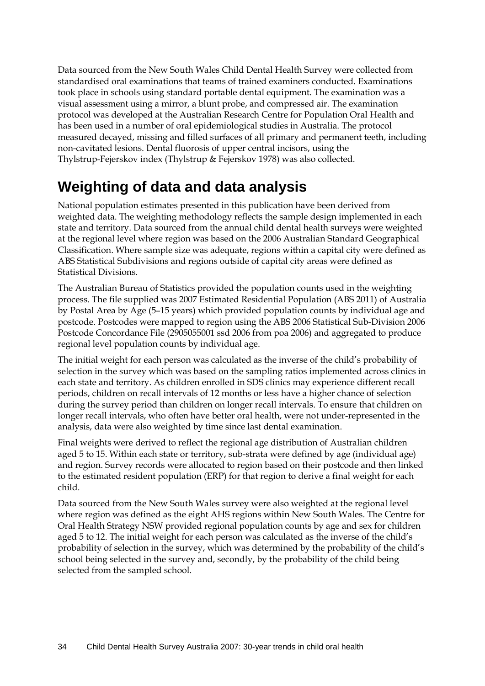Data sourced from the New South Wales Child Dental Health Survey were collected from standardised oral examinations that teams of trained examiners conducted. Examinations took place in schools using standard portable dental equipment. The examination was a visual assessment using a mirror, a blunt probe, and compressed air. The examination protocol was developed at the Australian Research Centre for Population Oral Health and has been used in a number of oral epidemiological studies in Australia. The protocol measured decayed, missing and filled surfaces of all primary and permanent teeth, including non-cavitated lesions. Dental fluorosis of upper central incisors, using the Thylstrup-Fejerskov index (Thylstrup & Fejerskov 1978) was also collected.

# **Weighting of data and data analysis**

National population estimates presented in this publication have been derived from weighted data. The weighting methodology reflects the sample design implemented in each state and territory. Data sourced from the annual child dental health surveys were weighted at the regional level where region was based on the 2006 Australian Standard Geographical Classification. Where sample size was adequate, regions within a capital city were defined as ABS Statistical Subdivisions and regions outside of capital city areas were defined as Statistical Divisions.

The Australian Bureau of Statistics provided the population counts used in the weighting process. The file supplied was 2007 Estimated Residential Population (ABS 2011) of Australia by Postal Area by Age (5–15 years) which provided population counts by individual age and postcode. Postcodes were mapped to region using the ABS 2006 Statistical Sub-Division 2006 Postcode Concordance File (2905055001 ssd 2006 from poa 2006) and aggregated to produce regional level population counts by individual age.

The initial weight for each person was calculated as the inverse of the child's probability of selection in the survey which was based on the sampling ratios implemented across clinics in each state and territory. As children enrolled in SDS clinics may experience different recall periods, children on recall intervals of 12 months or less have a higher chance of selection during the survey period than children on longer recall intervals. To ensure that children on longer recall intervals, who often have better oral health, were not under-represented in the analysis, data were also weighted by time since last dental examination.

Final weights were derived to reflect the regional age distribution of Australian children aged 5 to 15. Within each state or territory, sub-strata were defined by age (individual age) and region. Survey records were allocated to region based on their postcode and then linked to the estimated resident population (ERP) for that region to derive a final weight for each child.

Data sourced from the New South Wales survey were also weighted at the regional level where region was defined as the eight AHS regions within New South Wales. The Centre for Oral Health Strategy NSW provided regional population counts by age and sex for children aged 5 to 12. The initial weight for each person was calculated as the inverse of the child's probability of selection in the survey, which was determined by the probability of the child's school being selected in the survey and, secondly, by the probability of the child being selected from the sampled school.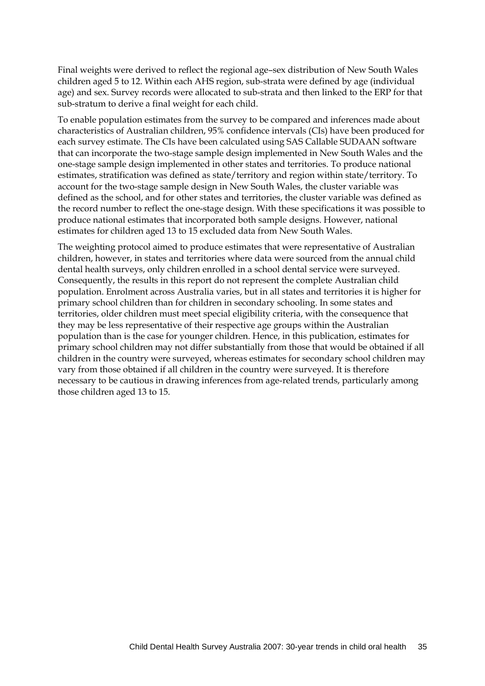Final weights were derived to reflect the regional age–sex distribution of New South Wales children aged 5 to 12. Within each AHS region, sub-strata were defined by age (individual age) and sex. Survey records were allocated to sub-strata and then linked to the ERP for that sub-stratum to derive a final weight for each child.

To enable population estimates from the survey to be compared and inferences made about characteristics of Australian children, 95% confidence intervals (CIs) have been produced for each survey estimate. The CIs have been calculated using SAS Callable SUDAAN software that can incorporate the two-stage sample design implemented in New South Wales and the one-stage sample design implemented in other states and territories. To produce national estimates, stratification was defined as state/territory and region within state/territory. To account for the two-stage sample design in New South Wales, the cluster variable was defined as the school, and for other states and territories, the cluster variable was defined as the record number to reflect the one-stage design. With these specifications it was possible to produce national estimates that incorporated both sample designs. However, national estimates for children aged 13 to 15 excluded data from New South Wales.

The weighting protocol aimed to produce estimates that were representative of Australian children, however, in states and territories where data were sourced from the annual child dental health surveys, only children enrolled in a school dental service were surveyed. Consequently, the results in this report do not represent the complete Australian child population. Enrolment across Australia varies, but in all states and territories it is higher for primary school children than for children in secondary schooling. In some states and territories, older children must meet special eligibility criteria, with the consequence that they may be less representative of their respective age groups within the Australian population than is the case for younger children. Hence, in this publication, estimates for primary school children may not differ substantially from those that would be obtained if all children in the country were surveyed, whereas estimates for secondary school children may vary from those obtained if all children in the country were surveyed. It is therefore necessary to be cautious in drawing inferences from age-related trends, particularly among those children aged 13 to 15.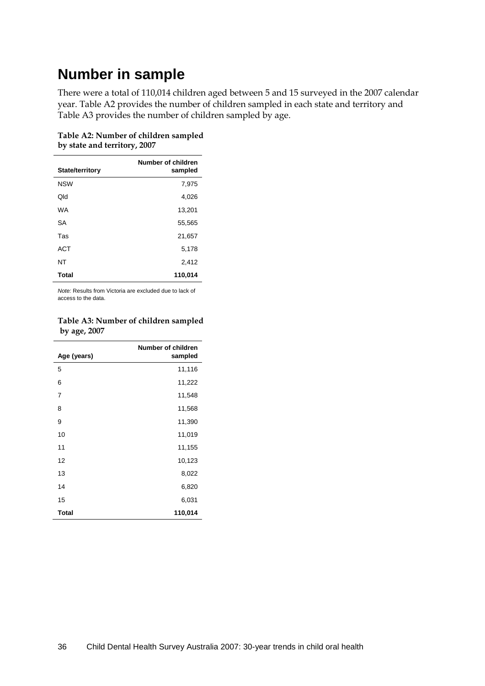## **Number in sample**

There were a total of 110,014 children aged between 5 and 15 surveyed in the 2007 calendar year. Table A2 provides the number of children sampled in each state and territory and Table A3 provides the number of children sampled by age.

|                 | Number of children |
|-----------------|--------------------|
| State/territory | sampled            |
| <b>NSW</b>      | 7,975              |
| Old             | 4,026              |
| <b>WA</b>       | 13,201             |
| SA              | 55,565             |
| Tas             | 21,657             |
| <b>ACT</b>      | 5,178              |
| NT              | 2,412              |
| Total           | 110,014            |

<span id="page-43-0"></span>**Table A2: Number of children sampled by state and territory, 2007**

*Note:* Results from Victoria are excluded due to lack of access to the data.

#### <span id="page-43-1"></span>**Table A3: Number of children sampled by age, 2007**

| Age (years)  | <b>Number of children</b><br>sampled |
|--------------|--------------------------------------|
| 5            | 11,116                               |
| 6            | 11,222                               |
| 7            | 11,548                               |
| 8            | 11,568                               |
| 9            | 11,390                               |
| 10           | 11,019                               |
| 11           | 11,155                               |
| 12           | 10,123                               |
| 13           | 8,022                                |
| 14           | 6,820                                |
| 15           | 6,031                                |
| <b>Total</b> | 110,014                              |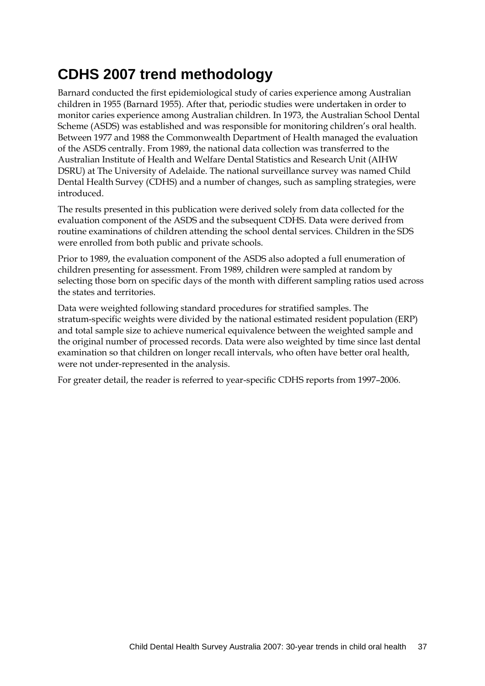# **CDHS 2007 trend methodology**

Barnard conducted the first epidemiological study of caries experience among Australian children in 1955 (Barnard 1955). After that, periodic studies were undertaken in order to monitor caries experience among Australian children. In 1973, the Australian School Dental Scheme (ASDS) was established and was responsible for monitoring children's oral health. Between 1977 and 1988 the Commonwealth Department of Health managed the evaluation of the ASDS centrally. From 1989, the national data collection was transferred to the Australian Institute of Health and Welfare Dental Statistics and Research Unit (AIHW DSRU) at The University of Adelaide. The national surveillance survey was named Child Dental Health Survey (CDHS) and a number of changes, such as sampling strategies, were introduced.

The results presented in this publication were derived solely from data collected for the evaluation component of the ASDS and the subsequent CDHS. Data were derived from routine examinations of children attending the school dental services. Children in the SDS were enrolled from both public and private schools.

Prior to 1989, the evaluation component of the ASDS also adopted a full enumeration of children presenting for assessment. From 1989, children were sampled at random by selecting those born on specific days of the month with different sampling ratios used across the states and territories.

Data were weighted following standard procedures for stratified samples. The stratum-specific weights were divided by the national estimated resident population (ERP) and total sample size to achieve numerical equivalence between the weighted sample and the original number of processed records. Data were also weighted by time since last dental examination so that children on longer recall intervals, who often have better oral health, were not under-represented in the analysis.

For greater detail, the reader is referred to year-specific CDHS reports from 1997–2006.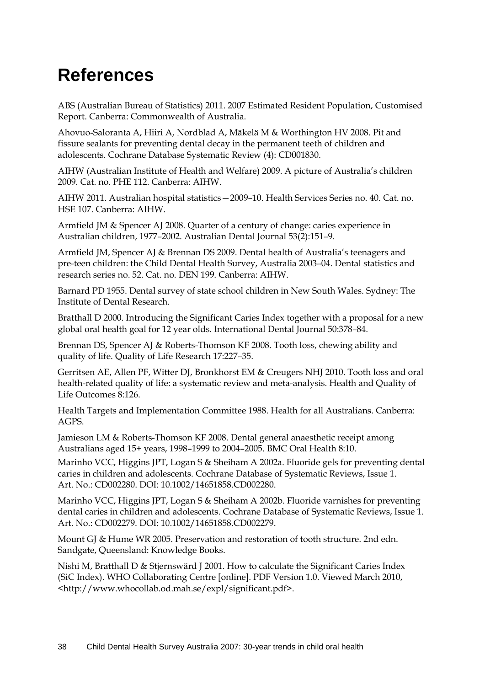# **References**

ABS (Australian Bureau of Statistics) 2011. 2007 Estimated Resident Population, Customised Report. Canberra: Commonwealth of Australia.

Ahovuo-Saloranta A, Hiiri A, Nordblad A, Mäkelä M & Worthington HV 2008. Pit and fissure sealants for preventing dental decay in the permanent teeth of children and adolescents. Cochrane Database Systematic Review (4): CD001830.

AIHW (Australian Institute of Health and Welfare) 2009. A picture of Australia's children 2009. Cat. no. PHE 112. Canberra: AIHW.

AIHW 2011. Australian hospital statistics—2009–10. Health Services Series no. 40. Cat. no. HSE 107. Canberra: AIHW.

Armfield JM & Spencer AJ 2008. Quarter of a century of change: caries experience in Australian children, 1977–2002. [Australian](javascript:AL_get(this,%20) Dental Journal 53(2):151–9.

Armfield JM, Spencer AJ & Brennan DS 2009. Dental health of Australia's teenagers and pre-teen children: the Child Dental Health Survey, Australia 2003–04. Dental statistics and research series no. 52. Cat. no. DEN 199. Canberra: AIHW.

Barnard PD 1955. Dental survey of state school children in New South Wales. Sydney: The Institute of Dental Research.

Bratthall D 2000. Introducing the Significant Caries Index together with a proposal for a new global oral health goal for 12 year olds. International Dental Journal 50:378–84.

Brennan DS, Spencer AJ & Roberts-Thomson KF 2008. Tooth loss, chewing ability and quality of life. Quality of Life Research 17:227–35.

Gerritsen AE, Allen PF, Witter DJ, Bronkhorst EM & Creugers NHJ 2010. Tooth loss and oral health-related quality of life: a systematic review and meta-analysis. Health and Quality of Life Outcomes 8:126.

Health Targets and Implementation Committee 1988. Health for all Australians. Canberra: AGPS.

Jamieson LM & Roberts-Thomson KF 2008. Dental general anaesthetic receipt among Australians aged 15+ years, 1998–1999 to 2004–2005. BMC Oral Health 8:10.

Marinho VCC, Higgins JPT, Logan S & Sheiham A 2002a. Fluoride gels for preventing dental caries in children and adolescents. Cochrane Database of Systematic Reviews, Issue 1. Art. No.: CD002280. DOI: 10.1002/14651858.CD002280.

Marinho VCC, Higgins JPT, Logan S & Sheiham A 2002b. Fluoride varnishes for preventing dental caries in children and adolescents. Cochrane Database of Systematic Reviews, Issue 1. Art. No.: CD002279. DOI: 10.1002/14651858.CD002279.

Mount GJ & Hume WR 2005. Preservation and restoration of tooth structure. 2nd edn. Sandgate, Queensland: Knowledge Books.

Nishi M, Bratthall D & Stjernswärd J 2001. How to calculate the Significant Caries Index (SiC Index). WHO Collaborating Centre [online]. PDF Version 1.0. Viewed March 2010, <http://www.whocollab.od.mah.se/expl/significant.pdf>.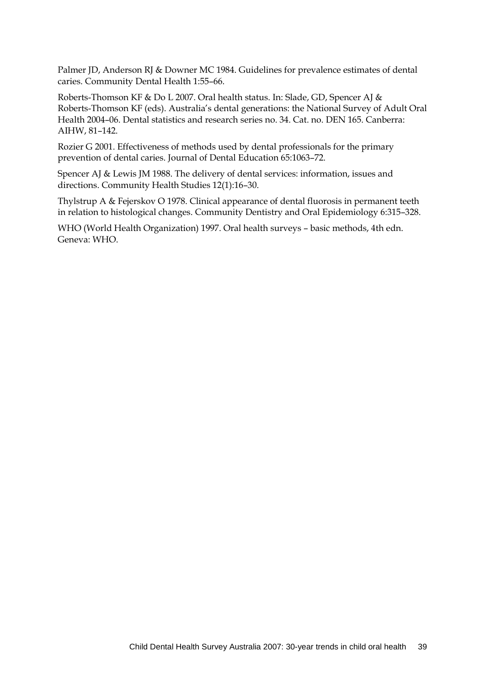Palmer JD, Anderson RJ & Downer MC 1984. Guidelines for prevalence estimates of dental caries. Community Dental Health 1:55–66.

Roberts-Thomson KF & Do L 2007. Oral health status. In: Slade, GD, Spencer AJ & Roberts-Thomson KF (eds). Australia's dental generations: the National Survey of Adult Oral Health 2004–06. Dental statistics and research series no. 34. Cat. no. DEN 165. Canberra: AIHW, 81–142.

Rozier G 2001. Effectiveness of methods used by dental professionals for the primary prevention of dental caries. Journal of Dental Education 65:1063–72.

Spencer AJ & Lewis JM 1988. The delivery of dental services: information, issues and directions. Community Health Studies 12(1):16–30.

Thylstrup A & Fejerskov O 1978. Clinical appearance of dental fluorosis in permanent teeth in relation to histological changes. Community Dentistry and Oral Epidemiology 6:315–328.

WHO (World Health Organization) 1997. Oral health surveys – basic methods, 4th edn. Geneva: WHO.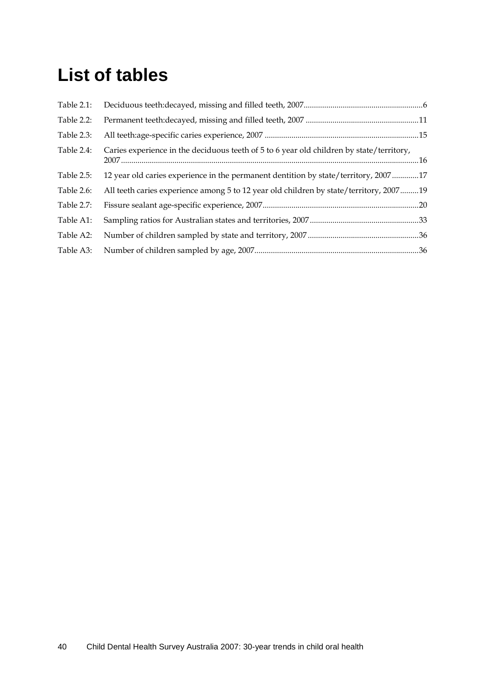# **List of tables**

| Table 2.1: |                                                                                          |  |
|------------|------------------------------------------------------------------------------------------|--|
| Table 2.2: |                                                                                          |  |
| Table 2.3: |                                                                                          |  |
| Table 2.4: | Caries experience in the deciduous teeth of 5 to 6 year old children by state/territory, |  |
| Table 2.5: | 12 year old caries experience in the permanent dentition by state/territory, 200717      |  |
| Table 2.6: | All teeth caries experience among 5 to 12 year old children by state/territory, 200719   |  |
| Table 2.7: |                                                                                          |  |
| Table A1:  |                                                                                          |  |
| Table A2:  |                                                                                          |  |
| Table A3:  |                                                                                          |  |